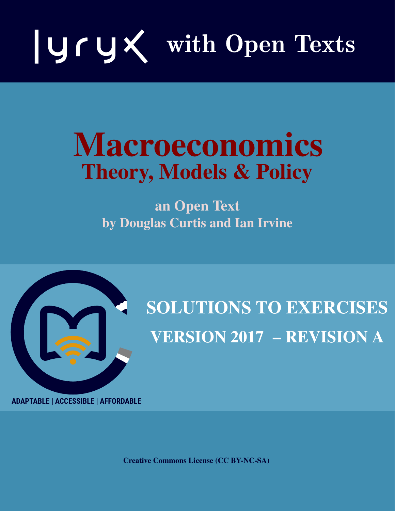

# Macroeconomics Theory, Models & Policy

an Open Text by Douglas Curtis and Ian Irvine



# SOLUTIONS TO EXERCISES VERSION 2017 – REVISION A

**ADAPTABLE | ACCESSIBLE | AFFORDABLE**

Creative Commons License (CC BY-NC-SA)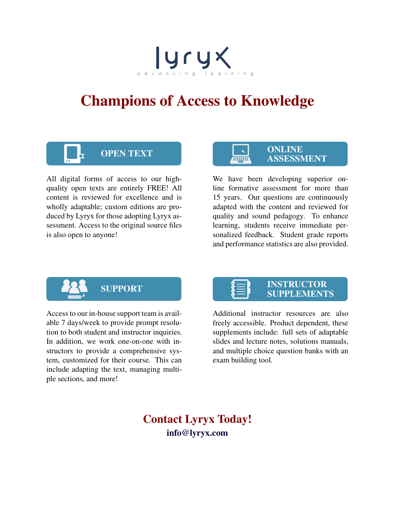# advancing learning

## Champions of Access to Knowledge



All digital forms of access to our highquality open texts are entirely FREE! All content is reviewed for excellence and is wholly adaptable; custom editions are produced by Lyryx for those adopting Lyryx assessment. Access to the original source files is also open to anyone!

#### OPEN TEXT ONLINE ASSESSMENT

We have been developing superior online formative assessment for more than 15 years. Our questions are continuously adapted with the content and reviewed for quality and sound pedagogy. To enhance learning, students receive immediate personalized feedback. Student grade reports and performance statistics are also provided.



Access to our in-house support team is available 7 days/week to provide prompt resolution to both student and instructor inquiries. In addition, we work one-on-one with instructors to provide a comprehensive system, customized for their course. This can include adapting the text, managing multiple sections, and more!



Additional instructor resources are also freely accessible. Product dependent, these supplements include: full sets of adaptable slides and lecture notes, solutions manuals, and multiple choice question banks with an exam building tool.

Contact Lyryx Today! info@lyryx.com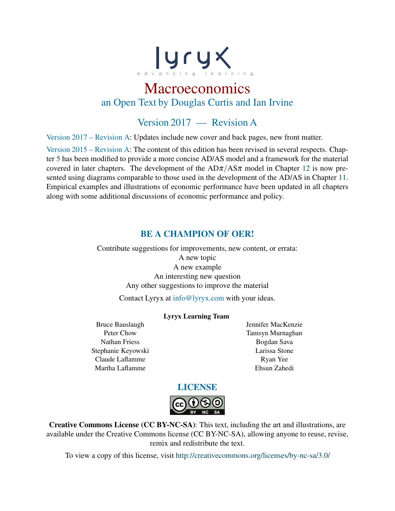

### Macroeconomics an Open Text by Douglas Curtis and Ian Irvine

#### Version 2017 — Revision A

Version 2017 – Revision A: Updates include new cover and back pages, new front matter.

Version 2015 – Revision A: The content of this edition has been revised in several respects. Chapter 5 has been modified to provide a more concise AD/AS model and a framework for the material covered in later chapters. The development of the  $AD\pi/AS\pi$  model in Chapter 12 is now presented using diagrams comparable to those used in the development of the AD/AS in Chapter 11. Empirical examples and illustrations of economic performance have been updated in all chapters along with some additional discussions of economic performance and policy.

#### BE A CHAMPION OF OER!

Contribute suggestions for improvements, new content, or errata: A new topic A new example An interesting new question Any other suggestions to improve the material

Contact Lyryx at info@lyryx.com with your ideas.

#### Lyryx Learning Team

Bruce Bauslaugh Peter Chow Nathan Friess Stephanie Keyowski Claude Laflamme Martha Laflamme

Jennifer MacKenzie Tamsyn Murnaghan Bogdan Sava Larissa Stone Ryan Yee Ehsun Zahedi



Creative Commons License (CC BY-NC-SA): This text, including the art and illustrations, are available under the Creative Commons license (CC BY-NC-SA), allowing anyone to reuse, revise, remix and redistribute the text.

To view a copy of this license, visit <http://creativecommons.org/licenses/by-nc-sa/3.0/>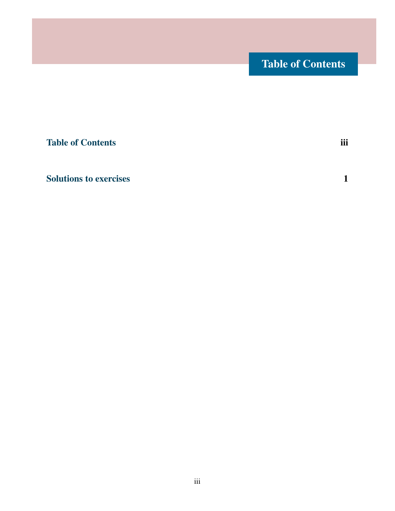### Table of Contents

<span id="page-6-0"></span>[Table of Contents](#page-6-0) iii

[Solutions to exercises](#page-8-0) 1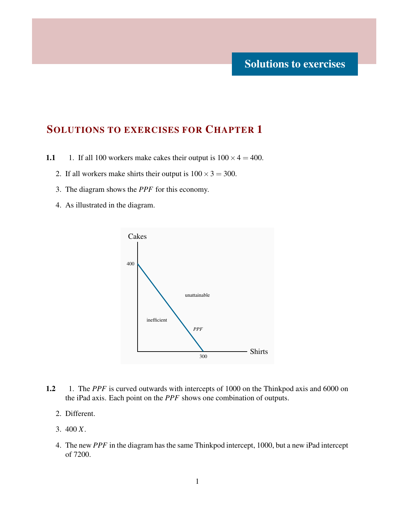<span id="page-8-0"></span>1.1 1. If all 100 workers make cakes their output is  $100 \times 4 = 400$ .

- 2. If all workers make shirts their output is  $100 \times 3 = 300$ .
- 3. The diagram shows the *PPF* for this economy.
- 4. As illustrated in the diagram.



- 1.2 1. The *PPF* is curved outwards with intercepts of 1000 on the Thinkpod axis and 6000 on the iPad axis. Each point on the *PPF* shows one combination of outputs.
	- 2. Different.
	- 3. 400 *X*.
	- 4. The new *PPF* in the diagram has the same Thinkpod intercept, 1000, but a new iPad intercept of 7200.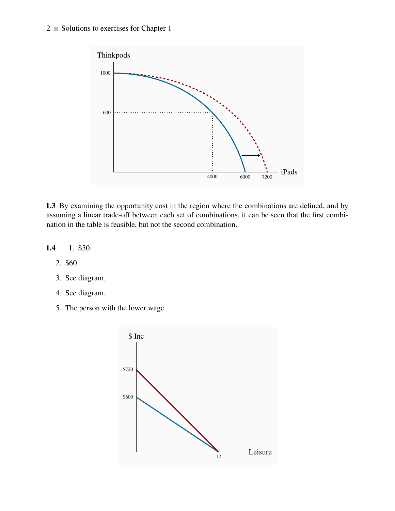#### $2 \equiv$  Solutions to exercises for Chapter 1



1.3 By examining the opportunity cost in the region where the combinations are defined, and by assuming a linear trade-off between each set of combinations, it can be seen that the first combination in the table is feasible, but not the second combination.



- 2. \$60.
- 3. See diagram.
- 4. See diagram.
- 5. The person with the lower wage.

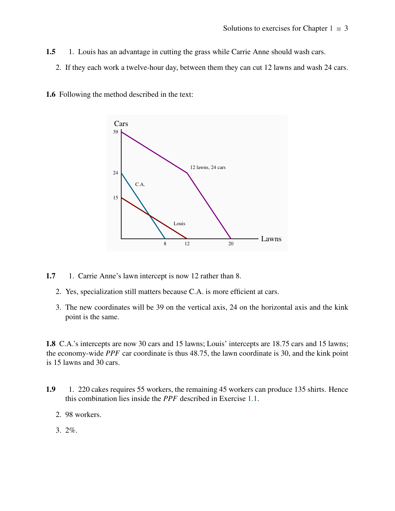- 1.5 1. Louis has an advantage in cutting the grass while Carrie Anne should wash cars.
	- 2. If they each work a twelve-hour day, between them they can cut 12 lawns and wash 24 cars.





- 1.7 1. Carrie Anne's lawn intercept is now 12 rather than 8.
	- 2. Yes, specialization still matters because C.A. is more efficient at cars.
	- 3. The new coordinates will be 39 on the vertical axis, 24 on the horizontal axis and the kink point is the same.

1.8 C.A.'s intercepts are now 30 cars and 15 lawns; Louis' intercepts are 18.75 cars and 15 lawns; the economy-wide *PPF* car coordinate is thus 48.75, the lawn coordinate is 30, and the kink point is 15 lawns and 30 cars.

- 1.9 1. 220 cakes requires 55 workers, the remaining 45 workers can produce 135 shirts. Hence this combination lies inside the *PPF* described in Exercise 1.1.
	- 2. 98 workers.
	- 3. 2%.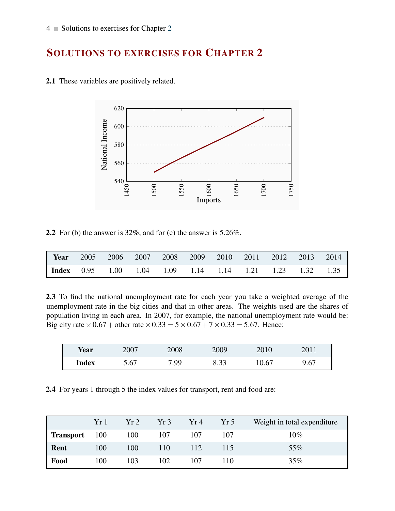

2.1 These variables are positively related.

2.2 For (b) the answer is  $32\%$ , and for (c) the answer is  $5.26\%$ .

| <b>Year</b> 2005 2006 2007 2008 2009 2010 2011 2012 2013 2014  |  |  |  |  |  |
|----------------------------------------------------------------|--|--|--|--|--|
| <b>Index</b> 0.95 1.00 1.04 1.09 1.14 1.14 1.21 1.23 1.32 1.35 |  |  |  |  |  |

2.3 To find the national unemployment rate for each year you take a weighted average of the unemployment rate in the big cities and that in other areas. The weights used are the shares of population living in each area. In 2007, for example, the national unemployment rate would be: Big city rate  $\times$  0.67 + other rate  $\times$  0.33 = 5 $\times$  0.67 + 7 $\times$  0.33 = 5.67. Hence:

| <b>Year</b>  | 2007 | 2008 | 2009 | 2010  | 2011 |
|--------------|------|------|------|-------|------|
| <b>Index</b> | 5.67 | 7.99 | 8.33 | 10.67 | 9.67 |

2.4 For years 1 through 5 the index values for transport, rent and food are:

|                      | Yr1 | Yr2 | Yr3 | Yr4 | Yr5 | Weight in total expenditure |
|----------------------|-----|-----|-----|-----|-----|-----------------------------|
| <b>Transport</b> 100 |     | 100 | 107 | 107 | 107 | $10\%$                      |
| Rent                 | 100 | 100 | 110 | 112 | 115 | 55%                         |
| Food                 | 100 | 103 | 102 | 107 | 110 | 35%                         |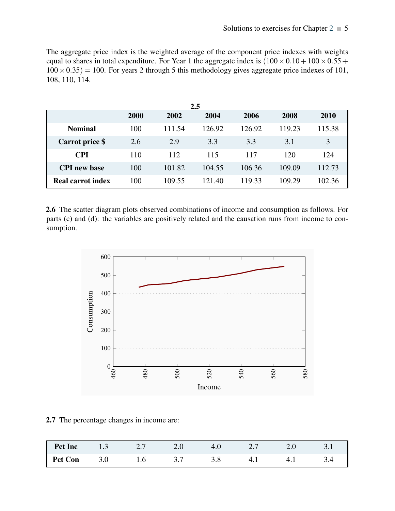The aggregate price index is the weighted average of the component price indexes with weights equal to shares in total expenditure. For Year 1 the aggregate index is  $(100 \times 0.10 + 100 \times 0.55 +$  $100 \times 0.35$  = 100. For years 2 through 5 this methodology gives aggregate price indexes of 101, 108, 110, 114.

|                          | 2.5  |        |        |        |        |        |  |  |
|--------------------------|------|--------|--------|--------|--------|--------|--|--|
|                          | 2000 | 2002   | 2004   | 2006   | 2008   | 2010   |  |  |
| <b>Nominal</b>           | 100  | 111.54 | 126.92 | 126.92 | 119.23 | 115.38 |  |  |
| Carrot price \$          | 2.6  | 2.9    | 3.3    | 3.3    | 3.1    | 3      |  |  |
| <b>CPI</b>               | 110  | 112    | 115    | 117    | 120    | 124    |  |  |
| <b>CPI</b> new base      | 100  | 101.82 | 104.55 | 106.36 | 109.09 | 112.73 |  |  |
| <b>Real carrot index</b> | 100  | 109.55 | 121.40 | 119.33 | 109.29 | 102.36 |  |  |

2.6 The scatter diagram plots observed combinations of income and consumption as follows. For parts (c) and (d): the variables are positively related and the causation runs from income to consumption.



2.7 The percentage changes in income are:

| <b>Pct Inc</b> 1.3 2.7 2.0 4.0 2.7 2.0 3.1 |  |  |  |  |
|--------------------------------------------|--|--|--|--|
| <b>Pct Con</b> 3.0 1.6 3.7 3.8 4.1 4.1 3.4 |  |  |  |  |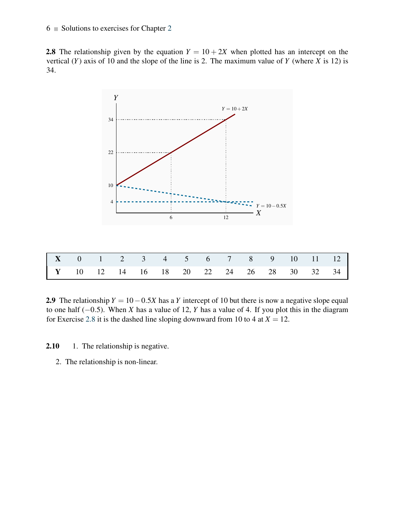#### $6 \equiv$  Solutions to exercises for Chapter 2

**2.8** The relationship given by the equation  $Y = 10 + 2X$  when plotted has an intercept on the vertical  $(Y)$  axis of 10 and the slope of the line is 2. The maximum value of  $Y$  (where  $X$  is 12) is 34.



2.9 The relationship  $Y = 10 - 0.5X$  has a *Y* intercept of 10 but there is now a negative slope equal to one half (−0.5). When *X* has a value of 12, *Y* has a value of 4. If you plot this in the diagram for Exercise 2.8 it is the dashed line sloping downward from 10 to 4 at  $X = 12$ .

- 2.10 1. The relationship is negative.
	- 2. The relationship is non-linear.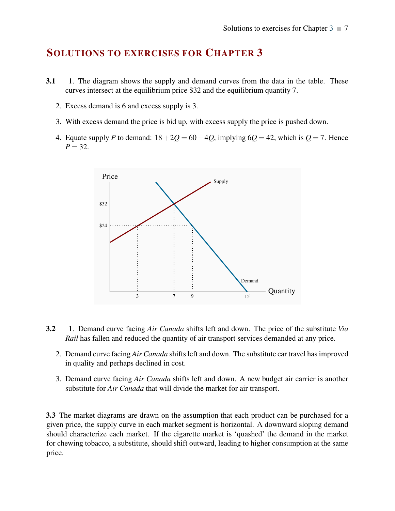- 3.1 1. The diagram shows the supply and demand curves from the data in the table. These curves intersect at the equilibrium price \$32 and the equilibrium quantity 7.
	- 2. Excess demand is 6 and excess supply is 3.
	- 3. With excess demand the price is bid up, with excess supply the price is pushed down.
	- 4. Equate supply *P* to demand:  $18+2Q = 60-4Q$ , implying  $6Q = 42$ , which is  $Q = 7$ . Hence  $P = 32$ .



- 3.2 1. Demand curve facing *Air Canada* shifts left and down. The price of the substitute *Via Rail* has fallen and reduced the quantity of air transport services demanded at any price.
	- 2. Demand curve facing *Air Canada* shifts left and down. The substitute car travel has improved in quality and perhaps declined in cost.
	- 3. Demand curve facing *Air Canada* shifts left and down. A new budget air carrier is another substitute for *Air Canada* that will divide the market for air transport.

3.3 The market diagrams are drawn on the assumption that each product can be purchased for a given price, the supply curve in each market segment is horizontal. A downward sloping demand should characterize each market. If the cigarette market is 'quashed' the demand in the market for chewing tobacco, a substitute, should shift outward, leading to higher consumption at the same price.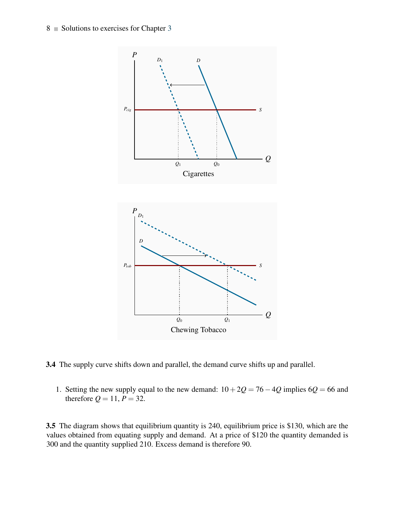8 Solutions to exercises for Chapter 3



3.4 The supply curve shifts down and parallel, the demand curve shifts up and parallel.

1. Setting the new supply equal to the new demand:  $10+2Q = 76-4Q$  implies  $6Q = 66$  and therefore  $Q = 11, P = 32$ .

3.5 The diagram shows that equilibrium quantity is 240, equilibrium price is \$130, which are the values obtained from equating supply and demand. At a price of \$120 the quantity demanded is 300 and the quantity supplied 210. Excess demand is therefore 90.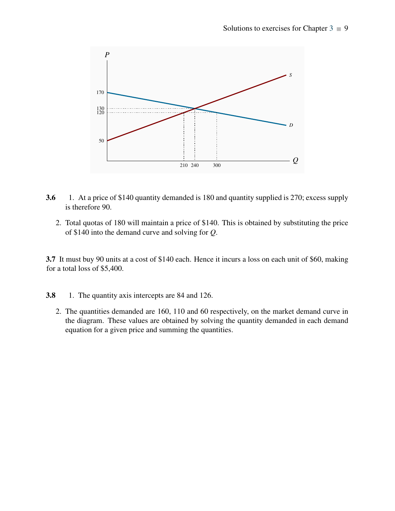

- 3.6 1. At a price of \$140 quantity demanded is 180 and quantity supplied is 270; excess supply is therefore 90.
	- 2. Total quotas of 180 will maintain a price of \$140. This is obtained by substituting the price of \$140 into the demand curve and solving for *Q*.

3.7 It must buy 90 units at a cost of \$140 each. Hence it incurs a loss on each unit of \$60, making for a total loss of \$5,400.

- 3.8 1. The quantity axis intercepts are 84 and 126.
	- 2. The quantities demanded are 160, 110 and 60 respectively, on the market demand curve in the diagram. These values are obtained by solving the quantity demanded in each demand equation for a given price and summing the quantities.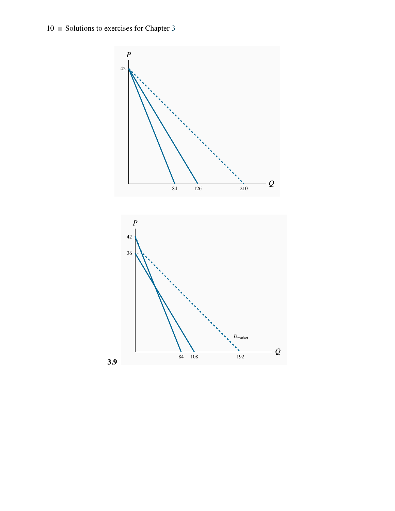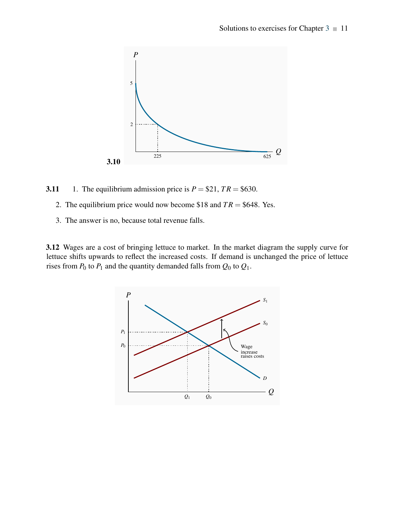

3.11 1. The equilibrium admission price is  $P = $21, TR = $630$ .

- 2. The equilibrium price would now become \$18 and  $TR = $648$ . Yes.
- 3. The answer is no, because total revenue falls.

3.12 Wages are a cost of bringing lettuce to market. In the market diagram the supply curve for lettuce shifts upwards to reflect the increased costs. If demand is unchanged the price of lettuce rises from  $P_0$  to  $P_1$  and the quantity demanded falls from  $Q_0$  to  $Q_1$ .

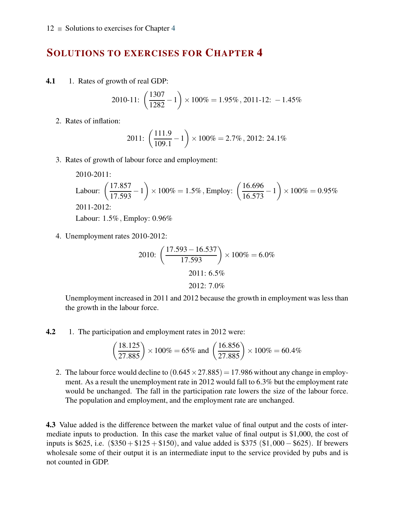4.1 1. Rates of growth of real GDP:

2010-11: 
$$
\left(\frac{1307}{1282} - 1\right) \times 100\% = 1.95\%
$$
, 2011-12: -1.45%

2. Rates of inflation:

2011: 
$$
\left(\frac{111.9}{109.1} - 1\right) \times 100\% = 2.7\%
$$
, 2012: 24.1%

3. Rates of growth of labour force and employment:

2010-2011:  
\nLabour: 
$$
\left(\frac{17.857}{17.593} - 1\right) \times 100\% = 1.5\%
$$
, Empty:  $\left(\frac{16.696}{16.573} - 1\right) \times 100\% = 0.95\%$   
\n2011-2012:  
\nLabour: 1.5%, Empty: 0.96%

4. Unemployment rates 2010-2012:

2010: 
$$
\left(\frac{17.593 - 16.537}{17.593}\right) \times 100\% = 6.0\%
$$
  
2011: 6.5%  
2012: 7.0%

Unemployment increased in 2011 and 2012 because the growth in employment was less than the growth in the labour force.

4.2 1. The participation and employment rates in 2012 were:

$$
\left(\frac{18.125}{27.885}\right) \times 100\% = 65\%
$$
 and  $\left(\frac{16.856}{27.885}\right) \times 100\% = 60.4\%$ 

2. The labour force would decline to  $(0.645 \times 27.885) = 17.986$  without any change in employment. As a result the unemployment rate in 2012 would fall to 6.3% but the employment rate would be unchanged. The fall in the participation rate lowers the size of the labour force. The population and employment, and the employment rate are unchanged.

4.3 Value added is the difference between the market value of final output and the costs of intermediate inputs to production. In this case the market value of final output is \$1,000, the cost of inputs is  $$625$ , i.e.  $($350 + $125 + $150)$ , and value added is \$375 (\$1,000 – \$625). If brewers wholesale some of their output it is an intermediate input to the service provided by pubs and is not counted in GDP.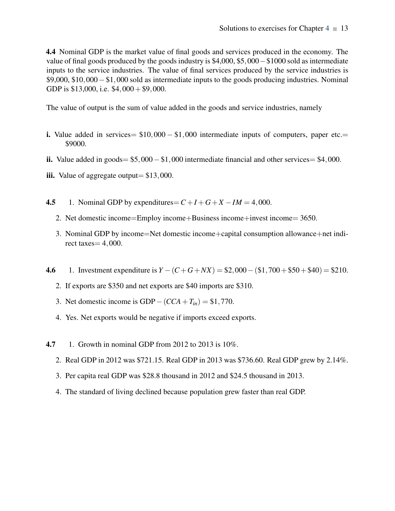4.4 Nominal GDP is the market value of final goods and services produced in the economy. The value of final goods produced by the goods industry is \$4,000, \$5,000−\$1000 sold as intermediate inputs to the service industries. The value of final services produced by the service industries is \$9,000, \$10,000−\$1,000 sold as intermediate inputs to the goods producing industries. Nominal GDP is  $$13,000$ , i.e.  $$4,000 + $9,000$ .

The value of output is the sum of value added in the goods and service industries, namely

- i. Value added in services=  $$10,000 $1,000$  intermediate inputs of computers, paper etc.= \$9000.
- ii. Value added in goods=  $$5,000 $1,000$  intermediate financial and other services=  $$4,000$ .
- iii. Value of aggregate output=  $$13,000$ .
- 4.5 1. Nominal GDP by expenditures=  $C + I + G + X IM = 4,000$ .
	- 2. Net domestic income=Employ income+Business income+invest income= 3650.
	- 3. Nominal GDP by income=Net domestic income+capital consumption allowance+net indirect taxes  $= 4,000$ .
- 4.6 1. Investment expenditure is  $Y (C + G + NX) = $2,000 ($1,700 + $50 + $40) = $210$ .
	- 2. If exports are \$350 and net exports are \$40 imports are \$310.
	- 3. Net domestic income is GDP−(*CCA*+*Tin*) = \$1,770.
	- 4. Yes. Net exports would be negative if imports exceed exports.
- **4.7** 1. Growth in nominal GDP from 2012 to 2013 is 10%.
	- 2. Real GDP in 2012 was \$721.15. Real GDP in 2013 was \$736.60. Real GDP grew by 2.14%.
	- 3. Per capita real GDP was \$28.8 thousand in 2012 and \$24.5 thousand in 2013.
	- 4. The standard of living declined because population grew faster than real GDP.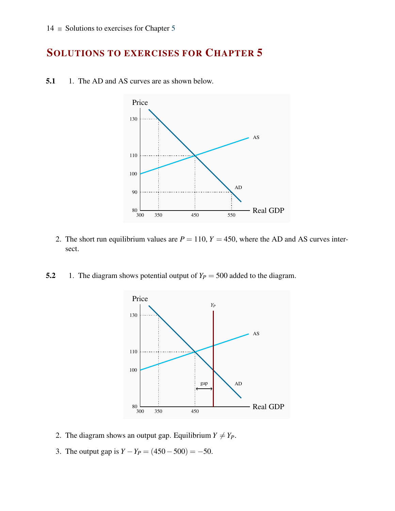

5.1 1. The AD and AS curves are as shown below.

- 2. The short run equilibrium values are  $P = 110$ ,  $Y = 450$ , where the AD and AS curves intersect.
- 5.2 1. The diagram shows potential output of  $Y_P = 500$  added to the diagram.



- 2. The diagram shows an output gap. Equilibrium  $Y \neq Y_P$ .
- 3. The output gap is  $Y Y_P = (450 500) = -50$ .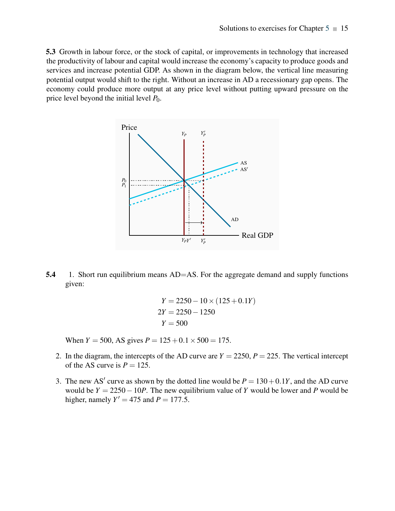5.3 Growth in labour force, or the stock of capital, or improvements in technology that increased the productivity of labour and capital would increase the economy's capacity to produce goods and services and increase potential GDP. As shown in the diagram below, the vertical line measuring potential output would shift to the right. Without an increase in AD a recessionary gap opens. The economy could produce more output at any price level without putting upward pressure on the price level beyond the initial level *P*0.



5.4 1. Short run equilibrium means  $AD=AS$ . For the aggregate demand and supply functions given:

$$
Y = 2250 - 10 \times (125 + 0.1Y)
$$
  
2Y = 2250 - 1250  

$$
Y = 500
$$

When *Y* = 500, AS gives *P* =  $125 + 0.1 \times 500 = 175$ .

- 2. In the diagram, the intercepts of the AD curve are  $Y = 2250$ ,  $P = 225$ . The vertical intercept of the AS curve is  $P = 125$ .
- 3. The new AS' curve as shown by the dotted line would be  $P = 130 + 0.1Y$ , and the AD curve would be *Y* = 2250−10*P*. The new equilibrium value of *Y* would be lower and *P* would be higher, namely  $Y' = 475$  and  $P = 177.5$ .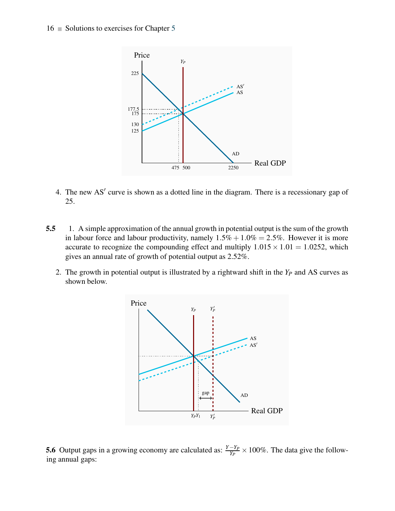#### $16$  Solutions to exercises for Chapter 5



- 4. The new AS′ curve is shown as a dotted line in the diagram. There is a recessionary gap of 25.
- 5.5 1. A simple approximation of the annual growth in potential output is the sum of the growth in labour force and labour productivity, namely  $1.5\% + 1.0\% = 2.5\%$ . However it is more accurate to recognize the compounding effect and multiply  $1.015 \times 1.01 = 1.0252$ , which gives an annual rate of growth of potential output as 2.52%.
	- 2. The growth in potential output is illustrated by a rightward shift in the *Y<sup>P</sup>* and AS curves as shown below.



5.6 Output gaps in a growing economy are calculated as:  $\frac{Y-Y_P}{Y_P} \times 100\%$ . The data give the following annual gaps: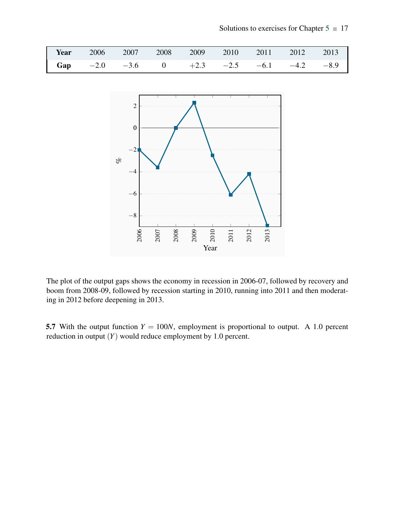|  |  |  | <b>Year</b> 2006 2007 2008 2009 2010 2011 2012 2013           |  |
|--|--|--|---------------------------------------------------------------|--|
|  |  |  | <b>Gap</b> $-2.0$ $-3.6$ 0 $+2.3$ $-2.5$ $-6.1$ $-4.2$ $-8.9$ |  |



The plot of the output gaps shows the economy in recession in 2006-07, followed by recovery and boom from 2008-09, followed by recession starting in 2010, running into 2011 and then moderating in 2012 before deepening in 2013.

5.7 With the output function  $Y = 100N$ , employment is proportional to output. A 1.0 percent reduction in output (*Y*) would reduce employment by 1.0 percent.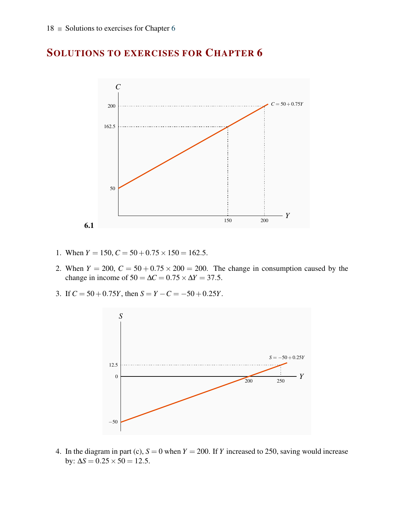

- 1. When  $Y = 150$ ,  $C = 50 + 0.75 \times 150 = 162.5$ .
- 2. When  $Y = 200$ ,  $C = 50 + 0.75 \times 200 = 200$ . The change in consumption caused by the change in income of  $50 = \Delta C = 0.75 \times \Delta Y = 37.5$ .
- 3. If  $C = 50 + 0.75Y$ , then  $S = Y C = -50 + 0.25Y$ .



4. In the diagram in part (c),  $S = 0$  when  $Y = 200$ . If *Y* increased to 250, saving would increase by:  $\Delta S = 0.25 \times 50 = 12.5$ .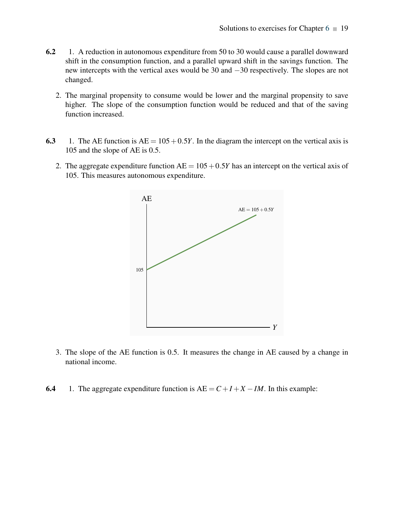- 6.2 1. A reduction in autonomous expenditure from 50 to 30 would cause a parallel downward shift in the consumption function, and a parallel upward shift in the savings function. The new intercepts with the vertical axes would be 30 and −30 respectively. The slopes are not changed.
	- 2. The marginal propensity to consume would be lower and the marginal propensity to save higher. The slope of the consumption function would be reduced and that of the saving function increased.
- 6.3 1. The AE function is  $AE = 105 + 0.5Y$ . In the diagram the intercept on the vertical axis is 105 and the slope of AE is 0.5.
	- 2. The aggregate expenditure function  $AE = 105 + 0.5Y$  has an intercept on the vertical axis of 105. This measures autonomous expenditure.



- 3. The slope of the AE function is 0.5. It measures the change in AE caused by a change in national income.
- 6.4 1. The aggregate expenditure function is  $AE = C + I + X IM$ . In this example: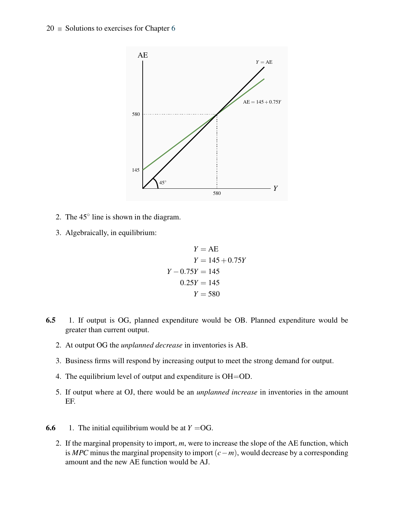

- 2. The  $45^\circ$  line is shown in the diagram.
- 3. Algebraically, in equilibrium:

$$
Y = AE
$$
  
\n
$$
Y = 145 + 0.75Y
$$
  
\n
$$
Y - 0.75Y = 145
$$
  
\n
$$
0.25Y = 145
$$
  
\n
$$
Y = 580
$$

- 6.5 1. If output is OG, planned expenditure would be OB. Planned expenditure would be greater than current output.
	- 2. At output OG the *unplanned decrease* in inventories is AB.
	- 3. Business firms will respond by increasing output to meet the strong demand for output.
	- 4. The equilibrium level of output and expenditure is OH=OD.
	- 5. If output where at OJ, there would be an *unplanned increase* in inventories in the amount EF.
- **6.6** 1. The initial equilibrium would be at  $Y = OG$ .
	- 2. If the marginal propensity to import, *m*, were to increase the slope of the AE function, which is *MPC* minus the marginal propensity to import(*c*−*m*), would decrease by a corresponding amount and the new AE function would be AJ.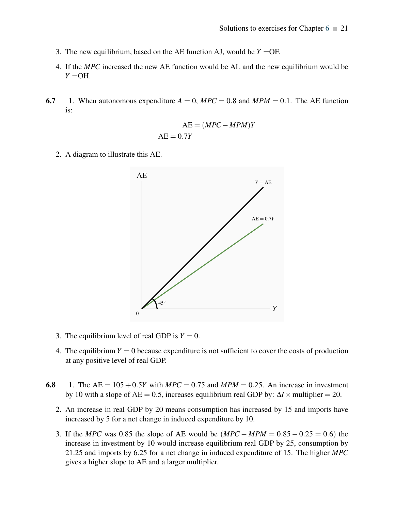- 3. The new equilibrium, based on the AE function AJ, would be  $Y = \text{OF}$ .
- 4. If the *MPC* increased the new AE function would be AL and the new equilibrium would be  $Y = OH$ .
- 6.7 1. When autonomous expenditure  $A = 0$ ,  $MPC = 0.8$  and  $MPM = 0.1$ . The AE function is:

$$
AE = (MPC - MPM)Y
$$
  
AE = 0.7Y

2. A diagram to illustrate this AE.



- 3. The equilibrium level of real GDP is  $Y = 0$ .
- 4. The equilibrium  $Y = 0$  because expenditure is not sufficient to cover the costs of production at any positive level of real GDP.
- 6.8 1. The  $AE = 105 + 0.5Y$  with  $MPC = 0.75$  and  $MPM = 0.25$ . An increase in investment by 10 with a slope of AE = 0.5, increases equilibrium real GDP by:  $\Delta I \times$  multiplier = 20.
	- 2. An increase in real GDP by 20 means consumption has increased by 15 and imports have increased by 5 for a net change in induced expenditure by 10.
	- 3. If the *MPC* was 0.85 the slope of AE would be (*MPC* − *MPM* = 0.85 − 0.25 = 0.6) the increase in investment by 10 would increase equilibrium real GDP by 25, consumption by 21.25 and imports by 6.25 for a net change in induced expenditure of 15. The higher *MPC* gives a higher slope to AE and a larger multiplier.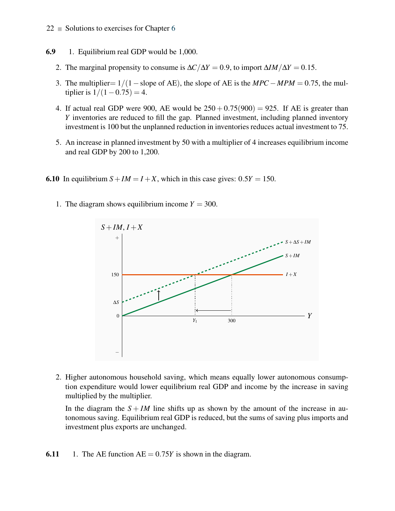#### **6.9** 1. Equilibrium real GDP would be 1,000.

- 2. The marginal propensity to consume is  $\Delta C/\Delta Y = 0.9$ , to import  $\Delta I M/\Delta Y = 0.15$ .
- 3. The multiplier=  $1/(1 s)$  slope of AE), the slope of AE is the  $MPC MPM = 0.75$ , the multiplier is  $1/(1-0.75) = 4$ .
- 4. If actual real GDP were 900, AE would be  $250 + 0.75(900) = 925$ . If AE is greater than *Y* inventories are reduced to fill the gap. Planned investment, including planned inventory investment is 100 but the unplanned reduction in inventories reduces actual investment to 75.
- 5. An increase in planned investment by 50 with a multiplier of 4 increases equilibrium income and real GDP by 200 to 1,200.
- **6.10** In equilibrium  $S + IM = I + X$ , which in this case gives:  $0.5Y = 150$ .
	- 1. The diagram shows equilibrium income  $Y = 300$ .



2. Higher autonomous household saving, which means equally lower autonomous consumption expenditure would lower equilibrium real GDP and income by the increase in saving multiplied by the multiplier.

In the diagram the  $S + IM$  line shifts up as shown by the amount of the increase in autonomous saving. Equilibrium real GDP is reduced, but the sums of saving plus imports and investment plus exports are unchanged.

**6.11** 1. The AE function  $AE = 0.75Y$  is shown in the diagram.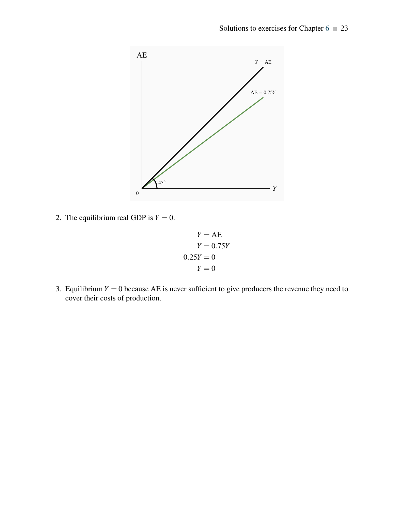

2. The equilibrium real GDP is  $Y = 0$ .

$$
Y = AE
$$
  
\n
$$
Y = 0.75Y
$$
  
\n
$$
0.25Y = 0
$$
  
\n
$$
Y = 0
$$

3. Equilibrium  $Y = 0$  because AE is never sufficient to give producers the revenue they need to cover their costs of production.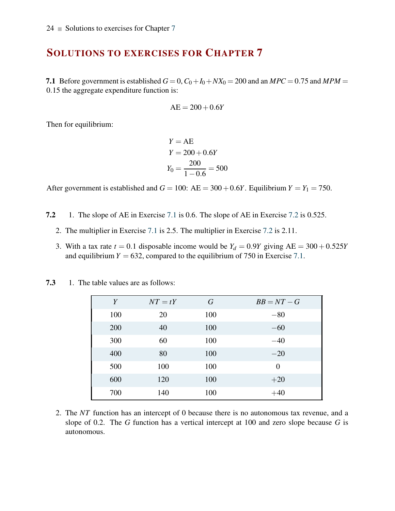7.1 Before government is established  $G = 0$ ,  $C_0 + I_0 + N X_0 = 200$  and an  $MPC = 0.75$  and  $MPM =$ 0.15 the aggregate expenditure function is:

$$
AE = 200 + 0.6Y
$$

Then for equilibrium:

$$
Y = AE
$$
  
 
$$
Y = 200 + 0.6Y
$$
  
 
$$
Y_0 = \frac{200}{1 - 0.6} = 500
$$

After government is established and  $G = 100$ :  $AE = 300 + 0.6Y$ . Equilibrium  $Y = Y_1 = 750$ .

- 7.2 1. The slope of AE in Exercise 7.1 is 0.6. The slope of AE in Exercise 7.2 is 0.525.
	- 2. The multiplier in Exercise 7.1 is 2.5. The multiplier in Exercise 7.2 is 2.11.
	- 3. With a tax rate  $t = 0.1$  disposable income would be  $Y_d = 0.9Y$  giving  $AE = 300 + 0.525Y$ and equilibrium  $Y = 632$ , compared to the equilibrium of 750 in Exercise 7.1.

| Y   | $NT = tY$ | $\, G \,$ | $BB=NT-G$ |
|-----|-----------|-----------|-----------|
| 100 | 20        | 100       | $-80$     |
| 200 | 40        | 100       | $-60$     |
| 300 | 60        | 100       | $-40$     |
| 400 | 80        | 100       | $-20$     |
| 500 | 100       | 100       | $\theta$  |
| 600 | 120       | 100       | $+20$     |
| 700 | 140       | 100       | $+40$     |

7.3 1. The table values are as follows:

2. The *NT* function has an intercept of 0 because there is no autonomous tax revenue, and a slope of 0.2. The *G* function has a vertical intercept at 100 and zero slope because *G* is autonomous.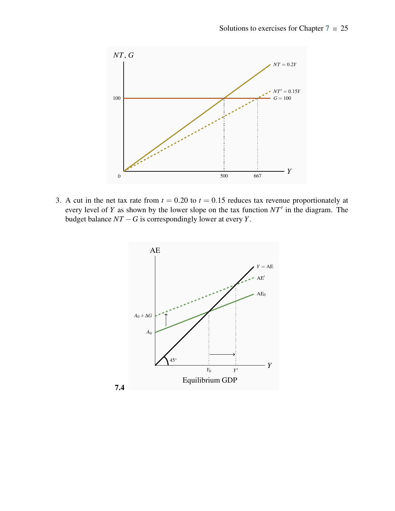

3. A cut in the net tax rate from  $t = 0.20$  to  $t = 0.15$  reduces tax revenue proportionately at every level of *Y* as shown by the lower slope on the tax function *NT*′ in the diagram. The budget balance  $NT - G$  is correspondingly lower at every *Y*.

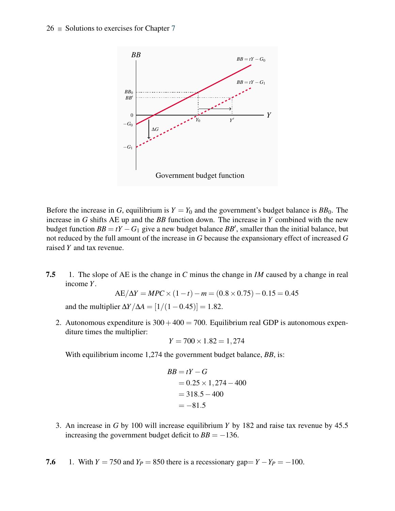

Before the increase in *G*, equilibrium is  $Y = Y_0$  and the government's budget balance is  $BB_0$ . The increase in *G* shifts AE up and the *BB* function down. The increase in *Y* combined with the new budget function  $BB = tY - G_1$  give a new budget balance  $BB'$ , smaller than the initial balance, but not reduced by the full amount of the increase in *G* because the expansionary effect of increased *G* raised *Y* and tax revenue.

7.5 1. The slope of AE is the change in *C* minus the change in *IM* caused by a change in real income *Y*.

$$
AE/\Delta Y = MPC \times (1 - t) - m = (0.8 \times 0.75) - 0.15 = 0.45
$$

and the multiplier  $\Delta Y/\Delta A = [1/(1-0.45)] = 1.82$ .

2. Autonomous expenditure is  $300+400 = 700$ . Equilibrium real GDP is autonomous expenditure times the multiplier:

$$
Y = 700 \times 1.82 = 1,274
$$

With equilibrium income 1,274 the government budget balance, *BB*, is:

$$
BB = tY - G
$$
  
= 0.25 × 1,274 – 400  
= 318.5 – 400  
= -81.5

- 3. An increase in *G* by 100 will increase equilibrium *Y* by 182 and raise tax revenue by 45.5 increasing the government budget deficit to  $BB = -136$ .
- 7.6 1. With  $Y = 750$  and  $Y_P = 850$  there is a recessionary gap=  $Y Y_P = -100$ .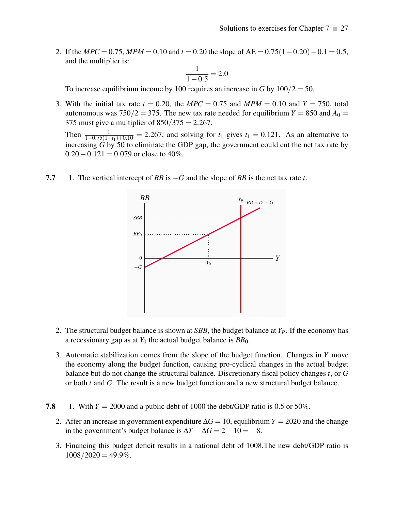2. If the *MPC* = 0.75, *MPM* = 0.10 and *t* = 0.20 the slope of AE = 0.75(1 − 0.20) − 0.1 = 0.5, and the multiplier is:

$$
\frac{1}{1 - 0.5} = 2.0
$$

To increase equilibrium income by 100 requires an increase in *G* by  $100/2 = 50$ .

3. With the initial tax rate  $t = 0.20$ , the  $MPC = 0.75$  and  $MPM = 0.10$  and  $Y = 750$ , total autonomous was  $750/2 = 375$ . The new tax rate needed for equilibrium  $Y = 850$  and  $A_0 =$ 375 must give a multiplier of  $850/375 = 2.267$ .

Then  $\frac{1}{1-0.75(1-t_1)+0.10} = 2.267$ , and solving for  $t_1$  gives  $t_1 = 0.121$ . As an alternative to increasing *G* by 50 to eliminate the GDP gap, the government could cut the net tax rate by  $0.20 - 0.121 = 0.079$  or close to 40%.



7.7 1. The vertical intercept of *BB* is −*G* and the slope of *BB* is the net tax rate *t*.

- 2. The structural budget balance is shown at *SBB*, the budget balance at *YP*. If the economy has a recessionary gap as at  $Y_0$  the actual budget balance is  $BB_0$ .
- 3. Automatic stabilization comes from the slope of the budget function. Changes in *Y* move the economy along the budget function, causing pro-cyclical changes in the actual budget balance but do not change the structural balance. Discretionary fiscal policy changes *t*, or *G* or both *t* and *G*. The result is a new budget function and a new structural budget balance.
- 7.8 1. With  $Y = 2000$  and a public debt of 1000 the debt/GDP ratio is 0.5 or 50%.
	- 2. After an increase in government expenditure ∆*G* = 10, equilibrium*Y* = 2020 and the change in the government's budget balance is  $\Delta T - \Delta G = 2 - 10 = -8$ .
	- 3. Financing this budget deficit results in a national debt of 1008.The new debt/GDP ratio is  $1008/2020 = 49.9\%$ .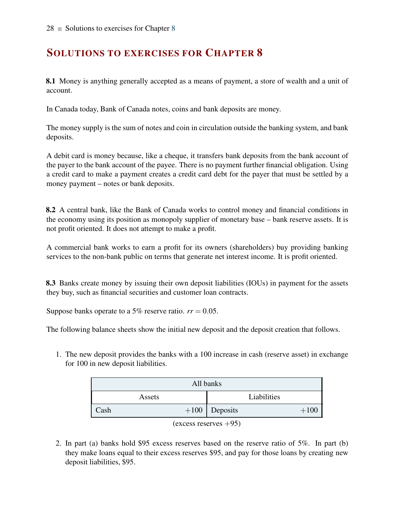8.1 Money is anything generally accepted as a means of payment, a store of wealth and a unit of account.

In Canada today, Bank of Canada notes, coins and bank deposits are money.

The money supply is the sum of notes and coin in circulation outside the banking system, and bank deposits.

A debit card is money because, like a cheque, it transfers bank deposits from the bank account of the payer to the bank account of the payee. There is no payment further financial obligation. Using a credit card to make a payment creates a credit card debt for the payer that must be settled by a money payment – notes or bank deposits.

8.2 A central bank, like the Bank of Canada works to control money and financial conditions in the economy using its position as monopoly supplier of monetary base – bank reserve assets. It is not profit oriented. It does not attempt to make a profit.

A commercial bank works to earn a profit for its owners (shareholders) buy providing banking services to the non-bank public on terms that generate net interest income. It is profit oriented.

8.3 Banks create money by issuing their own deposit liabilities (IOUs) in payment for the assets they buy, such as financial securities and customer loan contracts.

Suppose banks operate to a 5% reserve ratio.  $rr = 0.05$ .

The following balance sheets show the initial new deposit and the deposit creation that follows.

1. The new deposit provides the banks with a 100 increase in cash (reserve asset) in exchange for 100 in new deposit liabilities.

| All banks |        |                 |             |        |  |  |
|-----------|--------|-----------------|-------------|--------|--|--|
|           | Assets |                 | Liabilities |        |  |  |
| Cash      |        | $+100$ Deposits |             | $+100$ |  |  |
|           |        |                 |             |        |  |  |



2. In part (a) banks hold \$95 excess reserves based on the reserve ratio of 5%. In part (b) they make loans equal to their excess reserves \$95, and pay for those loans by creating new deposit liabilities, \$95.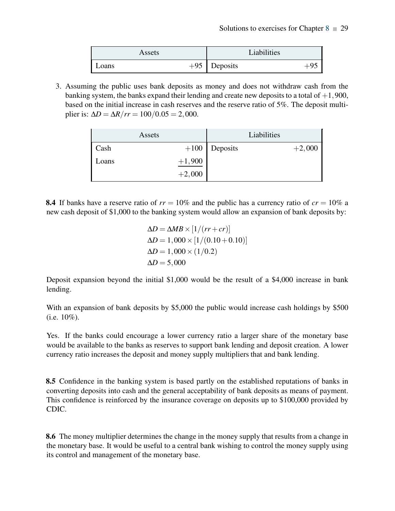| Assets | Liabilities             |
|--------|-------------------------|
| Loans  | $+95$ Deposits<br>$+9:$ |

3. Assuming the public uses bank deposits as money and does not withdraw cash from the banking system, the banks expand their lending and create new deposits to a total of  $+1,900$ , based on the initial increase in cash reserves and the reserve ratio of 5%. The deposit multiplier is:  $ΔD = ΔR/rr = 100/0.05 = 2,000$ .

|       | Assets   |                 | Liabilities |          |
|-------|----------|-----------------|-------------|----------|
| Cash  |          | $+100$ Deposits |             | $+2,000$ |
| Loans | $+1,900$ |                 |             |          |
|       | $+2,000$ |                 |             |          |

**8.4** If banks have a reserve ratio of  $rr = 10\%$  and the public has a currency ratio of  $cr = 10\%$  a new cash deposit of \$1,000 to the banking system would allow an expansion of bank deposits by:

$$
\Delta D = \Delta MB \times [1/(rr + cr)]
$$
  
\n
$$
\Delta D = 1,000 \times [1/(0.10 + 0.10)]
$$
  
\n
$$
\Delta D = 1,000 \times (1/0.2)
$$
  
\n
$$
\Delta D = 5,000
$$

Deposit expansion beyond the initial \$1,000 would be the result of a \$4,000 increase in bank lending.

With an expansion of bank deposits by \$5,000 the public would increase cash holdings by \$500  $(i.e. 10\%).$ 

Yes. If the banks could encourage a lower currency ratio a larger share of the monetary base would be available to the banks as reserves to support bank lending and deposit creation. A lower currency ratio increases the deposit and money supply multipliers that and bank lending.

8.5 Confidence in the banking system is based partly on the established reputations of banks in converting deposits into cash and the general acceptability of bank deposits as means of payment. This confidence is reinforced by the insurance coverage on deposits up to \$100,000 provided by CDIC.

8.6 The money multiplier determines the change in the money supply that results from a change in the monetary base. It would be useful to a central bank wishing to control the money supply using its control and management of the monetary base.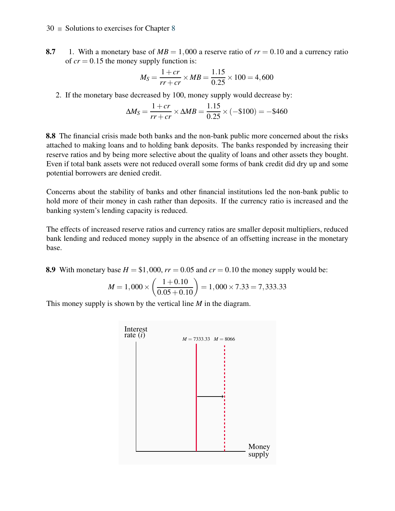8.7 1. With a monetary base of  $MB = 1,000$  a reserve ratio of  $rr = 0.10$  and a currency ratio of  $cr = 0.15$  the money supply function is:

$$
M_S = \frac{1+cr}{rr+cr} \times MB = \frac{1.15}{0.25} \times 100 = 4,600
$$

2. If the monetary base decreased by 100, money supply would decrease by:

$$
\Delta M_S = \frac{1+cr}{rr+cr} \times \Delta MB = \frac{1.15}{0.25} \times (-\$100) = -\$460
$$

8.8 The financial crisis made both banks and the non-bank public more concerned about the risks attached to making loans and to holding bank deposits. The banks responded by increasing their reserve ratios and by being more selective about the quality of loans and other assets they bought. Even if total bank assets were not reduced overall some forms of bank credit did dry up and some potential borrowers are denied credit.

Concerns about the stability of banks and other financial institutions led the non-bank public to hold more of their money in cash rather than deposits. If the currency ratio is increased and the banking system's lending capacity is reduced.

The effects of increased reserve ratios and currency ratios are smaller deposit multipliers, reduced bank lending and reduced money supply in the absence of an offsetting increase in the monetary base.

8.9 With monetary base  $H = $1,000$ ,  $rr = 0.05$  and  $cr = 0.10$  the money supply would be:

$$
M = 1,000 \times \left(\frac{1+0.10}{0.05+0.10}\right) = 1,000 \times 7.33 = 7,333.33
$$

This money supply is shown by the vertical line *M* in the diagram.

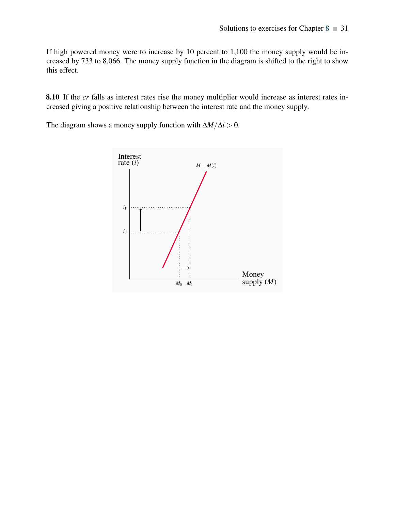If high powered money were to increase by 10 percent to 1,100 the money supply would be increased by 733 to 8,066. The money supply function in the diagram is shifted to the right to show this effect.

8.10 If the *cr* falls as interest rates rise the money multiplier would increase as interest rates increased giving a positive relationship between the interest rate and the money supply.

The diagram shows a money supply function with  $\Delta M/\Delta i > 0$ .

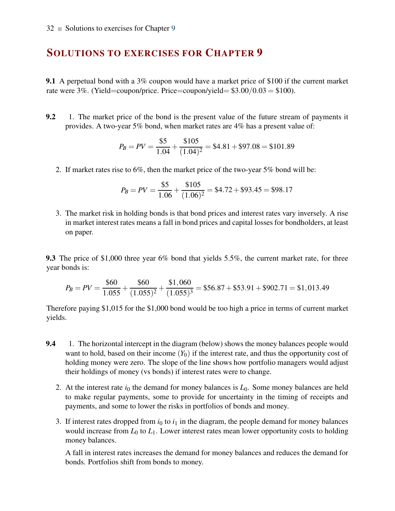9.1 A perpetual bond with a 3% coupon would have a market price of \$100 if the current market rate were  $3\%$ . (Yield=coupon/price. Price=coupon/yield=  $$3.00/0.03 = $100$ ).

9.2 1. The market price of the bond is the present value of the future stream of payments it provides. A two-year 5% bond, when market rates are 4% has a present value of:

$$
P_B = PV = \frac{$5}{$1.04} + \frac{$105}{$(1.04)^2} = $4.81 + $97.08 = $101.89
$$

2. If market rates rise to 6%, then the market price of the two-year 5% bond will be:

$$
P_B = PV = \frac{$5}{$1.06} + \frac{$105}{$(1.06)^2} = $4.72 + $93.45 = $98.17
$$

3. The market risk in holding bonds is that bond prices and interest rates vary inversely. A rise in market interest rates means a fall in bond prices and capital losses for bondholders, at least on paper.

9.3 The price of \$1,000 three year 6% bond that yields 5.5%, the current market rate, for three year bonds is:

$$
P_B = PV = \frac{$60}{$1.055} + \frac{$60}{$(1.055)^2} + \frac{$1,060}{$(1.055)^3} = $56.87 + $53.91 + $902.71 = $1,013.49
$$

Therefore paying \$1,015 for the \$1,000 bond would be too high a price in terms of current market yields.

- 9.4 1. The horizontal intercept in the diagram (below) shows the money balances people would want to hold, based on their income  $(Y_0)$  if the interest rate, and thus the opportunity cost of holding money were zero. The slope of the line shows how portfolio managers would adjust their holdings of money (vs bonds) if interest rates were to change.
	- 2. At the interest rate  $i_0$  the demand for money balances is  $L_0$ . Some money balances are held to make regular payments, some to provide for uncertainty in the timing of receipts and payments, and some to lower the risks in portfolios of bonds and money.
	- 3. If interest rates dropped from  $i_0$  to  $i_1$  in the diagram, the people demand for money balances would increase from  $L_0$  to  $L_1$ . Lower interest rates mean lower opportunity costs to holding money balances.

A fall in interest rates increases the demand for money balances and reduces the demand for bonds. Portfolios shift from bonds to money.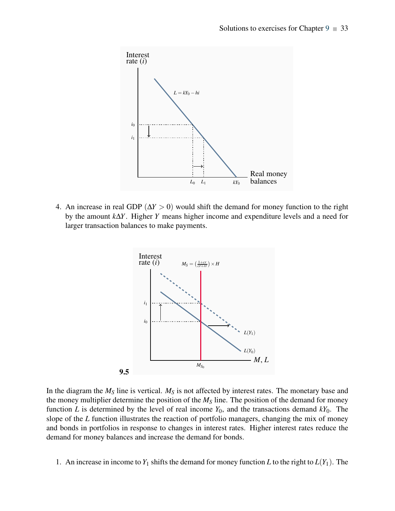

4. An increase in real GDP (∆*Y* > 0) would shift the demand for money function to the right by the amount *k*∆*Y*. Higher *Y* means higher income and expenditure levels and a need for larger transaction balances to make payments.



In the diagram the  $M<sub>S</sub>$  line is vertical.  $M<sub>S</sub>$  is not affected by interest rates. The monetary base and the money multiplier determine the position of the *M<sup>S</sup>* line. The position of the demand for money function *L* is determined by the level of real income  $Y_0$ , and the transactions demand  $kY_0$ . The slope of the *L* function illustrates the reaction of portfolio managers, changing the mix of money and bonds in portfolios in response to changes in interest rates. Higher interest rates reduce the demand for money balances and increase the demand for bonds.

1. An increase in income to  $Y_1$  shifts the demand for money function *L* to the right to  $L(Y_1)$ . The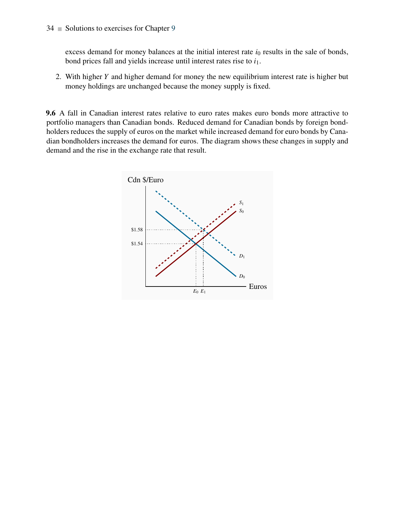excess demand for money balances at the initial interest rate  $i_0$  results in the sale of bonds, bond prices fall and yields increase until interest rates rise to *i*1.

2. With higher *Y* and higher demand for money the new equilibrium interest rate is higher but money holdings are unchanged because the money supply is fixed.

9.6 A fall in Canadian interest rates relative to euro rates makes euro bonds more attractive to portfolio managers than Canadian bonds. Reduced demand for Canadian bonds by foreign bondholders reduces the supply of euros on the market while increased demand for euro bonds by Canadian bondholders increases the demand for euros. The diagram shows these changes in supply and demand and the rise in the exchange rate that result.

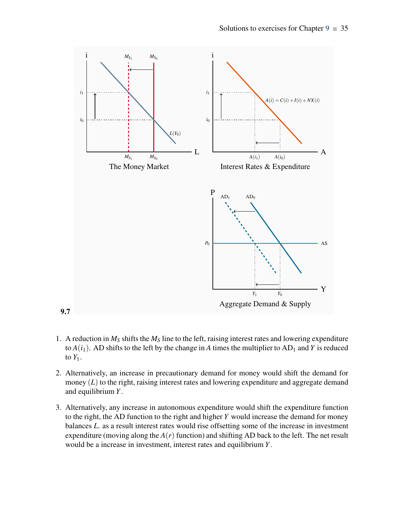

- 1. A reduction in  $M<sub>S</sub>$  shifts the  $M<sub>S</sub>$  line to the left, raising interest rates and lowering expenditure to  $A(i_1)$ . AD shifts to the left by the change in A times the multiplier to  $AD_1$  and *Y* is reduced to  $Y_1$ .
- 2. Alternatively, an increase in precautionary demand for money would shift the demand for money (*L*) to the right, raising interest rates and lowering expenditure and aggregate demand and equilibrium *Y*.
- 3. Alternatively, any increase in autonomous expenditure would shift the expenditure function to the right, the AD function to the right and higher *Y* would increase the demand for money balances *L*. as a result interest rates would rise offsetting some of the increase in investment expenditure (moving along the  $A(r)$  function) and shifting AD back to the left. The net result would be a increase in investment, interest rates and equilibrium *Y*.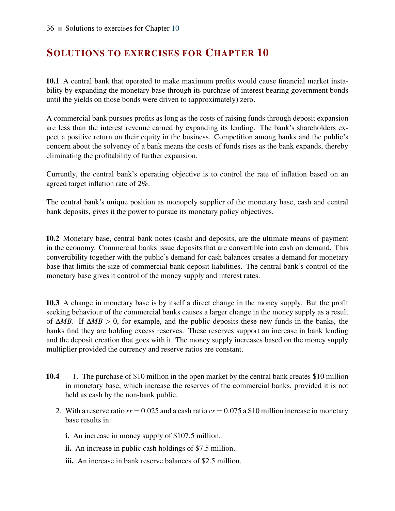10.1 A central bank that operated to make maximum profits would cause financial market instability by expanding the monetary base through its purchase of interest bearing government bonds until the yields on those bonds were driven to (approximately) zero.

A commercial bank pursues profits as long as the costs of raising funds through deposit expansion are less than the interest revenue earned by expanding its lending. The bank's shareholders expect a positive return on their equity in the business. Competition among banks and the public's concern about the solvency of a bank means the costs of funds rises as the bank expands, thereby eliminating the profitability of further expansion.

Currently, the central bank's operating objective is to control the rate of inflation based on an agreed target inflation rate of 2%.

The central bank's unique position as monopoly supplier of the monetary base, cash and central bank deposits, gives it the power to pursue its monetary policy objectives.

10.2 Monetary base, central bank notes (cash) and deposits, are the ultimate means of payment in the economy. Commercial banks issue deposits that are convertible into cash on demand. This convertibility together with the public's demand for cash balances creates a demand for monetary base that limits the size of commercial bank deposit liabilities. The central bank's control of the monetary base gives it control of the money supply and interest rates.

10.3 A change in monetary base is by itself a direct change in the money supply. But the profit seeking behaviour of the commercial banks causes a larger change in the money supply as a result of ∆*MB*. If ∆*MB* > 0, for example, and the public deposits these new funds in the banks, the banks find they are holding excess reserves. These reserves support an increase in bank lending and the deposit creation that goes with it. The money supply increases based on the money supply multiplier provided the currency and reserve ratios are constant.

- 10.4 1. The purchase of \$10 million in the open market by the central bank creates \$10 million in monetary base, which increase the reserves of the commercial banks, provided it is not held as cash by the non-bank public.
	- 2. With a reserve ratio  $rr = 0.025$  and a cash ratio  $cr = 0.075$  a \$10 million increase in monetary base results in:
		- i. An increase in money supply of \$107.5 million.
		- ii. An increase in public cash holdings of \$7.5 million.
		- iii. An increase in bank reserve balances of \$2.5 million.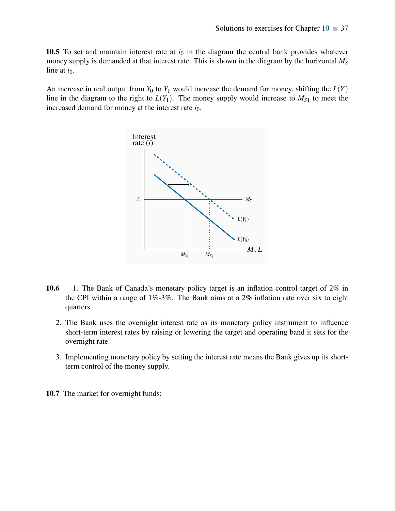10.5 To set and maintain interest rate at  $i<sub>0</sub>$  in the diagram the central bank provides whatever money supply is demanded at that interest rate. This is shown in the diagram by the horizontal *M<sup>S</sup>* line at  $i_0$ .

An increase in real output from  $Y_0$  to  $Y_1$  would increase the demand for money, shifting the  $L(Y)$ line in the diagram to the right to  $L(Y_1)$ . The money supply would increase to  $M_{S_1}$  to meet the increased demand for money at the interest rate  $i_0$ .



- 10.6 1. The Bank of Canada's monetary policy target is an inflation control target of 2% in the CPI within a range of 1%-3%. The Bank aims at a 2% inflation rate over six to eight quarters.
	- 2. The Bank uses the overnight interest rate as its monetary policy instrument to influence short-term interest rates by raising or lowering the target and operating band it sets for the overnight rate.
	- 3. Implementing monetary policy by setting the interest rate means the Bank gives up its shortterm control of the money supply.
- 10.7 The market for overnight funds: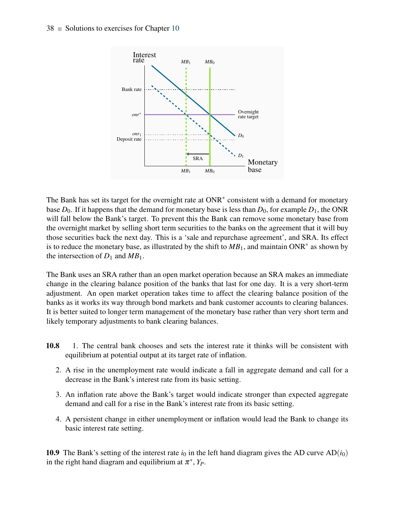

The Bank has set its target for the overnight rate at ONR<sup>\*</sup> consistent with a demand for monetary base  $D_0$ . If it happens that the demand for monetary base is less than  $D_0$ , for example  $D_1$ , the ONR will fall below the Bank's target. To prevent this the Bank can remove some monetary base from the overnight market by selling short term securities to the banks on the agreement that it will buy those securities back the next day. This is a 'sale and repurchase agreement', and SRA. Its effect is to reduce the monetary base, as illustrated by the shift to  $MB_1$ , and maintain ONR<sup>∗</sup> as shown by the intersection of  $D_1$  and  $MB_1$ .

The Bank uses an SRA rather than an open market operation because an SRA makes an immediate change in the clearing balance position of the banks that last for one day. It is a very short-term adjustment. An open market operation takes time to affect the clearing balance position of the banks as it works its way through bond markets and bank customer accounts to clearing balances. It is better suited to longer term management of the monetary base rather than very short term and likely temporary adjustments to bank clearing balances.

- 10.8 1. The central bank chooses and sets the interest rate it thinks will be consistent with equilibrium at potential output at its target rate of inflation.
	- 2. A rise in the unemployment rate would indicate a fall in aggregate demand and call for a decrease in the Bank's interest rate from its basic setting.
	- 3. An inflation rate above the Bank's target would indicate stronger than expected aggregate demand and call for a rise in the Bank's interest rate from its basic setting.
	- 4. A persistent change in either unemployment or inflation would lead the Bank to change its basic interest rate setting.

10.9 The Bank's setting of the interest rate  $i_0$  in the left hand diagram gives the AD curve  $AD(i_0)$ in the right hand diagram and equilibrium at  $\pi^*$ ,  $Y_P$ .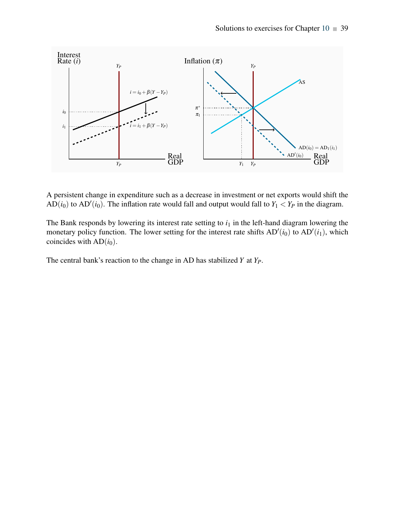

A persistent change in expenditure such as a decrease in investment or net exports would shift the AD( $i_0$ ) to AD'( $i_0$ ). The inflation rate would fall and output would fall to  $Y_1 < Y_P$  in the diagram.

The Bank responds by lowering its interest rate setting to  $i<sub>1</sub>$  in the left-hand diagram lowering the monetary policy function. The lower setting for the interest rate shifts  $AD'(i_0)$  to  $AD'(i_1)$ , which coincides with  $AD(i<sub>0</sub>)$ .

The central bank's reaction to the change in AD has stabilized *Y* at *YP*.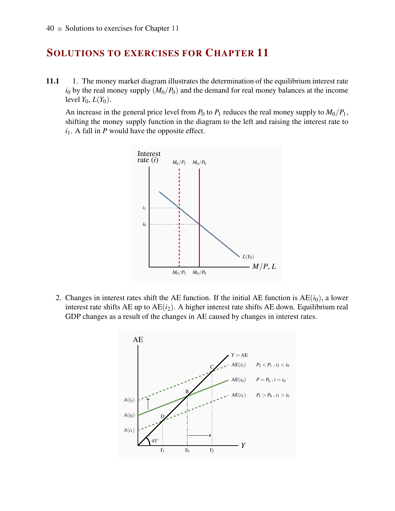11.1 1. The money market diagram illustrates the determination of the equilibrium interest rate  $i_0$  by the real money supply  $(M_0/P_0)$  and the demand for real money balances at the income level  $Y_0$ ,  $L(Y_0)$ .

An increase in the general price level from  $P_0$  to  $P_1$  reduces the real money supply to  $M_0/P_1$ , shifting the money supply function in the diagram to the left and raising the interest rate to  $i_1$ . A fall in *P* would have the opposite effect.



2. Changes in interest rates shift the AE function. If the initial AE function is  $AE(i_0)$ , a lower interest rate shifts  $AE$  up to  $AE(i_2)$ . A higher interest rate shifts  $AE$  down. Equilibrium real GDP changes as a result of the changes in AE caused by changes in interest rates.

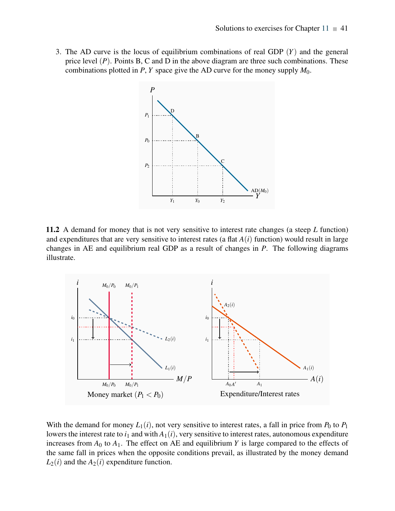3. The AD curve is the locus of equilibrium combinations of real GDP (*Y*) and the general price level (*P*). Points B, C and D in the above diagram are three such combinations. These combinations plotted in *P*, *Y* space give the AD curve for the money supply  $M_0$ .



11.2 A demand for money that is not very sensitive to interest rate changes (a steep *L* function) and expenditures that are very sensitive to interest rates (a flat  $A(i)$  function) would result in large changes in AE and equilibrium real GDP as a result of changes in *P*. The following diagrams illustrate.



With the demand for money  $L_1(i)$ , not very sensitive to interest rates, a fall in price from  $P_0$  to  $P_1$ lowers the interest rate to  $i_1$  and with  $A_1(i)$ , very sensitive to interest rates, autonomous expenditure increases from  $A_0$  to  $A_1$ . The effect on AE and equilibrium *Y* is large compared to the effects of the same fall in prices when the opposite conditions prevail, as illustrated by the money demand  $L_2(i)$  and the  $A_2(i)$  expenditure function.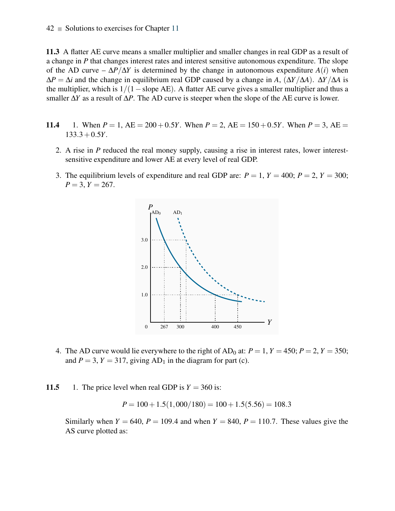11.3 A flatter AE curve means a smaller multiplier and smaller changes in real GDP as a result of a change in *P* that changes interest rates and interest sensitive autonomous expenditure. The slope of the AD curve –  $\Delta P/\Delta Y$  is determined by the change in autonomous expenditure  $A(i)$  when  $\Delta P = \Delta i$  and the change in equilibrium real GDP caused by a change in *A*,  $(\Delta Y/\Delta A)$ .  $\Delta Y/\Delta A$  is the multiplier, which is  $1/(1 - s)$  and AE). A flatter AE curve gives a smaller multiplier and thus a smaller ∆*Y* as a result of ∆*P*. The AD curve is steeper when the slope of the AE curve is lower.

- 11.4 1. When  $P = 1$ ,  $AE = 200 + 0.5Y$ . When  $P = 2$ ,  $AE = 150 + 0.5Y$ . When  $P = 3$ ,  $AE = 150 + 0.5Y$ . 133.3+0.5*Y*.
	- 2. A rise in *P* reduced the real money supply, causing a rise in interest rates, lower interestsensitive expenditure and lower AE at every level of real GDP.
	- 3. The equilibrium levels of expenditure and real GDP are:  $P = 1$ ,  $Y = 400$ ;  $P = 2$ ,  $Y = 300$ ;  $P = 3, Y = 267.$



4. The AD curve would lie everywhere to the right of  $AD_0$  at:  $P = 1$ ,  $Y = 450$ ;  $P = 2$ ,  $Y = 350$ ; and  $P = 3$ ,  $Y = 317$ , giving  $AD_1$  in the diagram for part (c).

11.5 1. The price level when real GDP is  $Y = 360$  is:

$$
P = 100 + 1.5(1,000/180) = 100 + 1.5(5.56) = 108.3
$$

Similarly when  $Y = 640$ ,  $P = 109.4$  and when  $Y = 840$ ,  $P = 110.7$ . These values give the AS curve plotted as: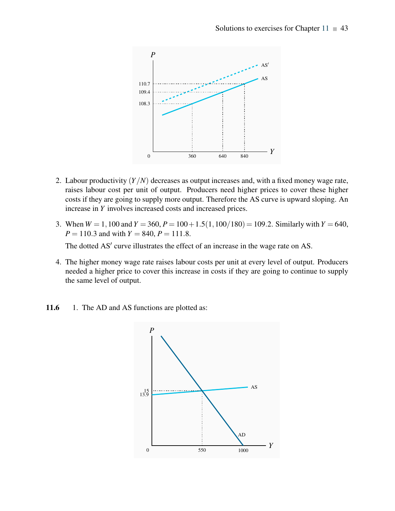

- 2. Labour productivity (*Y*/*N*) decreases as output increases and, with a fixed money wage rate, raises labour cost per unit of output. Producers need higher prices to cover these higher costs if they are going to supply more output. Therefore the AS curve is upward sloping. An increase in *Y* involves increased costs and increased prices.
- 3. When  $W = 1,100$  and  $Y = 360$ ,  $P = 100 + 1.5(1,100/180) = 109.2$ . Similarly with  $Y = 640$ ,  $P = 110.3$  and with  $Y = 840$ ,  $P = 111.8$ .

The dotted AS' curve illustrates the effect of an increase in the wage rate on AS.

4. The higher money wage rate raises labour costs per unit at every level of output. Producers needed a higher price to cover this increase in costs if they are going to continue to supply the same level of output.

11.6 1. The AD and AS functions are plotted as:

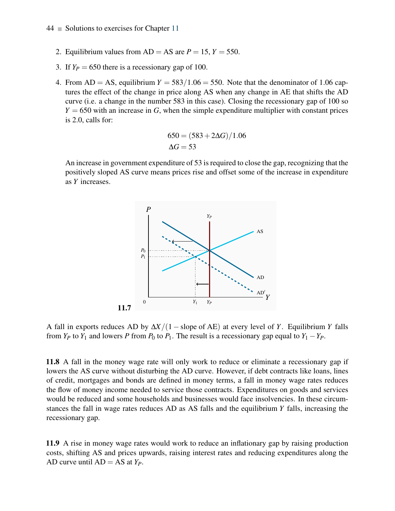- 2. Equilibrium values from  $AD = AS$  are  $P = 15$ ,  $Y = 550$ .
- 3. If  $Y_P = 650$  there is a recessionary gap of 100.
- 4. From  $AD = AS$ , equilibrium  $Y = 583/1.06 = 550$ . Note that the denominator of 1.06 captures the effect of the change in price along AS when any change in AE that shifts the AD curve (i.e. a change in the number 583 in this case). Closing the recessionary gap of 100 so  $Y = 650$  with an increase in *G*, when the simple expenditure multiplier with constant prices is 2.0, calls for:

$$
650 = (583 + 2\Delta G)/1.06
$$

$$
\Delta G = 53
$$

An increase in government expenditure of 53 is required to close the gap, recognizing that the positively sloped AS curve means prices rise and offset some of the increase in expenditure as *Y* increases.



A fall in exports reduces AD by ∆*X*/(1− slope of AE) at every level of *Y*. Equilibrium *Y* falls from  $Y_P$  to  $Y_1$  and lowers *P* from  $P_0$  to  $P_1$ . The result is a recessionary gap equal to  $Y_1 - Y_P$ .

11.8 A fall in the money wage rate will only work to reduce or eliminate a recessionary gap if lowers the AS curve without disturbing the AD curve. However, if debt contracts like loans, lines of credit, mortgages and bonds are defined in money terms, a fall in money wage rates reduces the flow of money income needed to service those contracts. Expenditures on goods and services would be reduced and some households and businesses would face insolvencies. In these circumstances the fall in wage rates reduces AD as AS falls and the equilibrium *Y* falls, increasing the recessionary gap.

11.9 A rise in money wage rates would work to reduce an inflationary gap by raising production costs, shifting AS and prices upwards, raising interest rates and reducing expenditures along the AD curve until  $AD = AS$  at  $Y_P$ .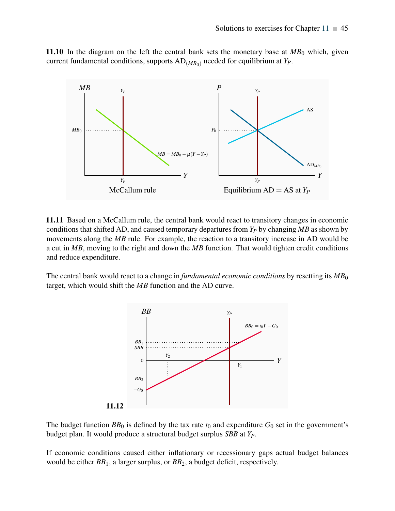11.10 In the diagram on the left the central bank sets the monetary base at  $MB<sub>0</sub>$  which, given current fundamental conditions, supports  $AD_{(MB_0)}$  needed for equilibrium at  $Y_P$ .



11.11 Based on a McCallum rule, the central bank would react to transitory changes in economic conditions that shifted AD, and caused temporary departures from *Y<sup>P</sup>* by changing *MB* as shown by movements along the *MB* rule. For example, the reaction to a transitory increase in AD would be a cut in *MB*, moving to the right and down the *MB* function. That would tighten credit conditions and reduce expenditure.

The central bank would react to a change in *fundamental economic conditions* by resetting its  $MB_0$ target, which would shift the *MB* function and the AD curve.



The budget function  $BB_0$  is defined by the tax rate  $t_0$  and expenditure  $G_0$  set in the government's budget plan. It would produce a structural budget surplus *SBB* at *YP*.

If economic conditions caused either inflationary or recessionary gaps actual budget balances would be either *BB*1, a larger surplus, or *BB*2, a budget deficit, respectively.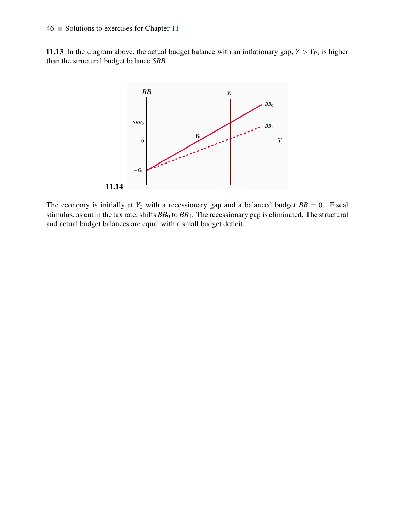#### $46$   $\blacksquare$  Solutions to exercises for Chapter 11

11.13 In the diagram above, the actual budget balance with an inflationary gap,  $Y > Y_P$ , is higher than the structural budget balance *SBB*.



The economy is initially at  $Y_0$  with a recessionary gap and a balanced budget  $BB = 0$ . Fiscal stimulus, as cut in the tax rate, shifts  $BB_0$  to  $BB_1$ . The recessionary gap is eliminated. The structural and actual budget balances are equal with a small budget deficit.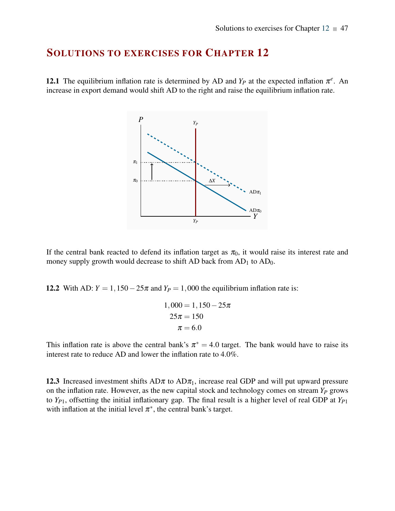**12.1** The equilibrium inflation rate is determined by AD and  $Y_P$  at the expected inflation  $\pi^e$ . An increase in export demand would shift AD to the right and raise the equilibrium inflation rate.



If the central bank reacted to defend its inflation target as  $\pi_0$ , it would raise its interest rate and money supply growth would decrease to shift AD back from  $AD_1$  to  $AD_0$ .

12.2 With AD:  $Y = 1,150-25\pi$  and  $Y_P = 1,000$  the equilibrium inflation rate is:

$$
1,000 = 1,150 - 25\pi
$$

$$
25\pi = 150
$$

$$
\pi = 6.0
$$

This inflation rate is above the central bank's  $\pi^* = 4.0$  target. The bank would have to raise its interest rate to reduce AD and lower the inflation rate to 4.0%.

12.3 Increased investment shifts  $AD\pi$  to  $AD\pi_1$ , increase real GDP and will put upward pressure on the inflation rate. However, as the new capital stock and technology comes on stream *Y<sup>P</sup>* grows to *YP*1, offsetting the initial inflationary gap. The final result is a higher level of real GDP at *YP*<sup>1</sup> with inflation at the initial level  $\pi^*$ , the central bank's target.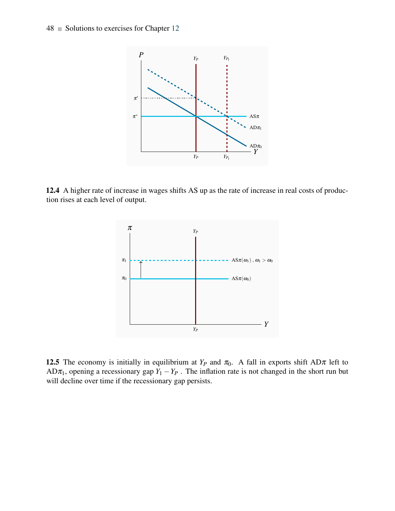

12.4 A higher rate of increase in wages shifts AS up as the rate of increase in real costs of production rises at each level of output.



12.5 The economy is initially in equilibrium at  $Y_P$  and  $\pi_0$ . A fall in exports shift AD $\pi$  left to AD $\pi_1$ , opening a recessionary gap  $Y_1 - Y_P$ . The inflation rate is not changed in the short run but will decline over time if the recessionary gap persists.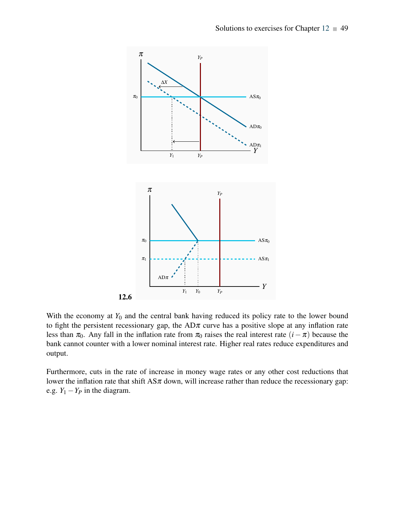

With the economy at  $Y_0$  and the central bank having reduced its policy rate to the lower bound to fight the persistent recessionary gap, the  $AD\pi$  curve has a positive slope at any inflation rate less than  $\pi_0$ . Any fall in the inflation rate from  $\pi_0$  raises the real interest rate  $(i - \pi)$  because the bank cannot counter with a lower nominal interest rate. Higher real rates reduce expenditures and output.

Furthermore, cuts in the rate of increase in money wage rates or any other cost reductions that lower the inflation rate that shift  $\text{AS}\pi$  down, will increase rather than reduce the recessionary gap: e.g.  $Y_1 - Y_P$  in the diagram.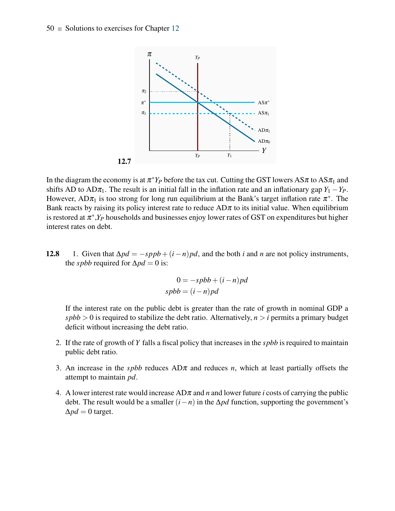

In the diagram the economy is at  $\pi^* Y_P$  before the tax cut. Cutting the GST lowers AS $\pi$  to AS $\pi_1$  and shifts AD to AD $\pi_1$ . The result is an initial fall in the inflation rate and an inflationary gap  $Y_1 - Y_P$ . However,  $AD\pi_1$  is too strong for long run equilibrium at the Bank's target inflation rate  $\pi^*$ . The Bank reacts by raising its policy interest rate to reduce  $AD\pi$  to its initial value. When equilibrium is restored at  $\pi^*$ ,  $Y_P$  households and businesses enjoy lower rates of GST on expenditures but higher interest rates on debt.

12.8 1. Given that  $\Delta pd = -sppb + (i - n)pd$ , and the both *i* and *n* are not policy instruments, the *spbb* required for  $\Delta pd = 0$  is:

$$
0 = -spbb + (i - n)pd
$$
  
\n
$$
spbb = (i - n)pd
$$

If the interest rate on the public debt is greater than the rate of growth in nominal GDP a  $spbb > 0$  is required to stabilize the debt ratio. Alternatively,  $n > i$  permits a primary budget deficit without increasing the debt ratio.

- 2. If the rate of growth of *Y* falls a fiscal policy that increases in the *spbb* is required to maintain public debt ratio.
- 3. An increase in the *spbb* reduces  $AD\pi$  and reduces *n*, which at least partially offsets the attempt to maintain *pd*.
- 4. A lower interest rate would increase  $AD\pi$  and *n* and lower future *i* costs of carrying the public debt. The result would be a smaller  $(i - n)$  in the  $\Delta pd$  function, supporting the government's  $\Delta pd = 0$  target.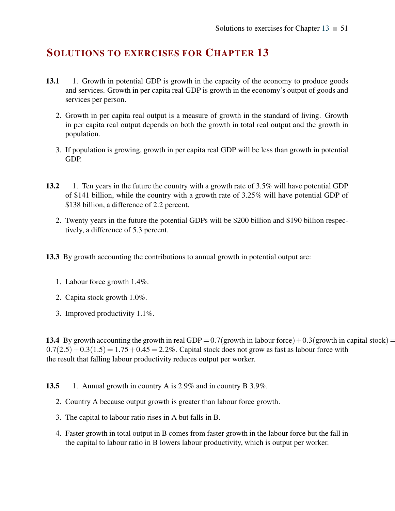- 13.1 1. Growth in potential GDP is growth in the capacity of the economy to produce goods and services. Growth in per capita real GDP is growth in the economy's output of goods and services per person.
	- 2. Growth in per capita real output is a measure of growth in the standard of living. Growth in per capita real output depends on both the growth in total real output and the growth in population.
	- 3. If population is growing, growth in per capita real GDP will be less than growth in potential GDP.
- 13.2 1. Ten years in the future the country with a growth rate of 3.5% will have potential GDP of \$141 billion, while the country with a growth rate of 3.25% will have potential GDP of \$138 billion, a difference of 2.2 percent.
	- 2. Twenty years in the future the potential GDPs will be \$200 billion and \$190 billion respectively, a difference of 5.3 percent.
- 13.3 By growth accounting the contributions to annual growth in potential output are:
	- 1. Labour force growth 1.4%.
	- 2. Capita stock growth 1.0%.
	- 3. Improved productivity 1.1%.

13.4 By growth accounting the growth in real GDP =  $0.7$  (growth in labour force) +  $0.3$  (growth in capital stock) =  $0.7(2.5) + 0.3(1.5) = 1.75 + 0.45 = 2.2\%$ . Capital stock does not grow as fast as labour force with the result that falling labour productivity reduces output per worker.

- 13.5 1. Annual growth in country A is 2.9% and in country B 3.9%.
	- 2. Country A because output growth is greater than labour force growth.
	- 3. The capital to labour ratio rises in A but falls in B.
	- 4. Faster growth in total output in B comes from faster growth in the labour force but the fall in the capital to labour ratio in B lowers labour productivity, which is output per worker.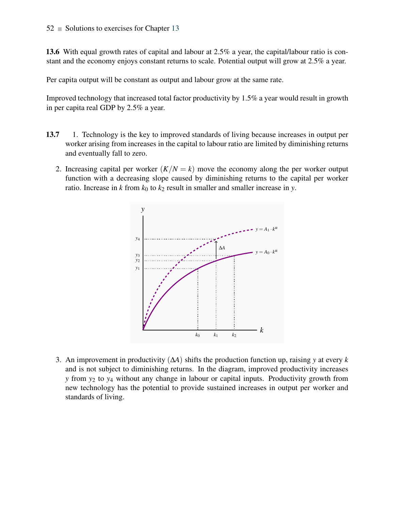13.6 With equal growth rates of capital and labour at 2.5% a year, the capital/labour ratio is constant and the economy enjoys constant returns to scale. Potential output will grow at 2.5% a year.

Per capita output will be constant as output and labour grow at the same rate.

Improved technology that increased total factor productivity by 1.5% a year would result in growth in per capita real GDP by 2.5% a year.

- 13.7 1. Technology is the key to improved standards of living because increases in output per worker arising from increases in the capital to labour ratio are limited by diminishing returns and eventually fall to zero.
	- 2. Increasing capital per worker  $(K/N = k)$  move the economy along the per worker output function with a decreasing slope caused by diminishing returns to the capital per worker ratio. Increase in *k* from  $k_0$  to  $k_2$  result in smaller and smaller increase in *y*.



3. An improvement in productivity (∆*A*) shifts the production function up, raising *y* at every *k* and is not subject to diminishing returns. In the diagram, improved productivity increases *y* from *y*<sup>2</sup> to *y*<sup>4</sup> without any change in labour or capital inputs. Productivity growth from new technology has the potential to provide sustained increases in output per worker and standards of living.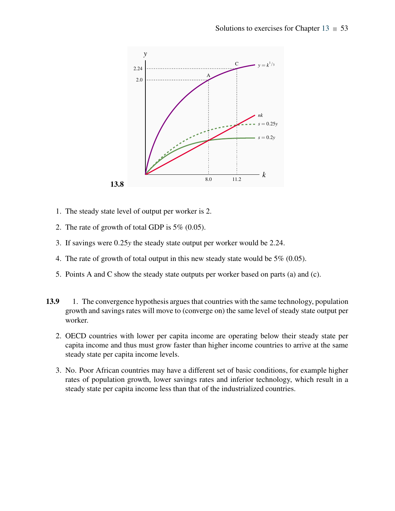

- 1. The steady state level of output per worker is 2.
- 2. The rate of growth of total GDP is 5% (0.05).
- 3. If savings were 0.25*y* the steady state output per worker would be 2.24.
- 4. The rate of growth of total output in this new steady state would be 5% (0.05).
- 5. Points A and C show the steady state outputs per worker based on parts (a) and (c).
- 13.9 1. The convergence hypothesis argues that countries with the same technology, population growth and savings rates will move to (converge on) the same level of steady state output per worker.
	- 2. OECD countries with lower per capita income are operating below their steady state per capita income and thus must grow faster than higher income countries to arrive at the same steady state per capita income levels.
	- 3. No. Poor African countries may have a different set of basic conditions, for example higher rates of population growth, lower savings rates and inferior technology, which result in a steady state per capita income less than that of the industrialized countries.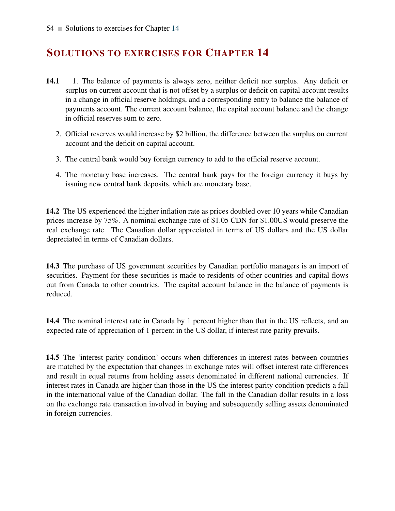- 14.1 1. The balance of payments is always zero, neither deficit nor surplus. Any deficit or surplus on current account that is not offset by a surplus or deficit on capital account results in a change in official reserve holdings, and a corresponding entry to balance the balance of payments account. The current account balance, the capital account balance and the change in official reserves sum to zero.
	- 2. Official reserves would increase by \$2 billion, the difference between the surplus on current account and the deficit on capital account.
	- 3. The central bank would buy foreign currency to add to the official reserve account.
	- 4. The monetary base increases. The central bank pays for the foreign currency it buys by issuing new central bank deposits, which are monetary base.

14.2 The US experienced the higher inflation rate as prices doubled over 10 years while Canadian prices increase by 75%. A nominal exchange rate of \$1.05 CDN for \$1.00US would preserve the real exchange rate. The Canadian dollar appreciated in terms of US dollars and the US dollar depreciated in terms of Canadian dollars.

14.3 The purchase of US government securities by Canadian portfolio managers is an import of securities. Payment for these securities is made to residents of other countries and capital flows out from Canada to other countries. The capital account balance in the balance of payments is reduced.

14.4 The nominal interest rate in Canada by 1 percent higher than that in the US reflects, and an expected rate of appreciation of 1 percent in the US dollar, if interest rate parity prevails.

14.5 The 'interest parity condition' occurs when differences in interest rates between countries are matched by the expectation that changes in exchange rates will offset interest rate differences and result in equal returns from holding assets denominated in different national currencies. If interest rates in Canada are higher than those in the US the interest parity condition predicts a fall in the international value of the Canadian dollar. The fall in the Canadian dollar results in a loss on the exchange rate transaction involved in buying and subsequently selling assets denominated in foreign currencies.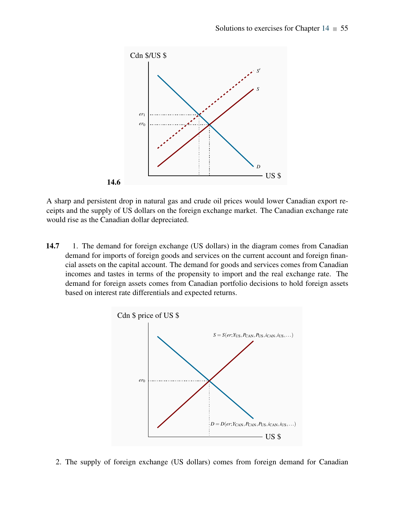

A sharp and persistent drop in natural gas and crude oil prices would lower Canadian export receipts and the supply of US dollars on the foreign exchange market. The Canadian exchange rate would rise as the Canadian dollar depreciated.

14.7 1. The demand for foreign exchange (US dollars) in the diagram comes from Canadian demand for imports of foreign goods and services on the current account and foreign financial assets on the capital account. The demand for goods and services comes from Canadian incomes and tastes in terms of the propensity to import and the real exchange rate. The demand for foreign assets comes from Canadian portfolio decisions to hold foreign assets based on interest rate differentials and expected returns.



2. The supply of foreign exchange (US dollars) comes from foreign demand for Canadian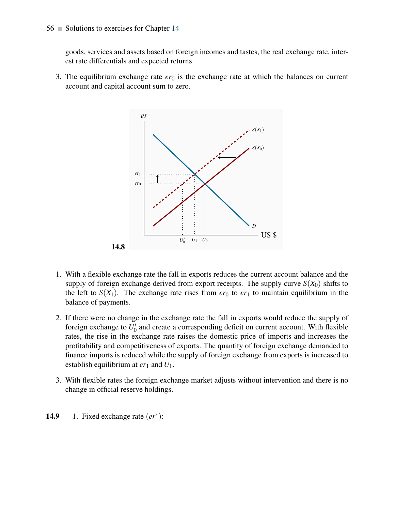goods, services and assets based on foreign incomes and tastes, the real exchange rate, interest rate differentials and expected returns.

3. The equilibrium exchange rate  $er_0$  is the exchange rate at which the balances on current account and capital account sum to zero.



- 1. With a flexible exchange rate the fall in exports reduces the current account balance and the supply of foreign exchange derived from export receipts. The supply curve  $S(X_0)$  shifts to the left to  $S(X_1)$ . The exchange rate rises from  $er_0$  to  $er_1$  to maintain equilibrium in the balance of payments.
- 2. If there were no change in the exchange rate the fall in exports would reduce the supply of foreign exchange to  $U_0'$  and create a corresponding deficit on current account. With flexible rates, the rise in the exchange rate raises the domestic price of imports and increases the profitability and competitiveness of exports. The quantity of foreign exchange demanded to finance imports is reduced while the supply of foreign exchange from exports is increased to establish equilibrium at  $er_1$  and  $U_1$ .
- 3. With flexible rates the foreign exchange market adjusts without intervention and there is no change in official reserve holdings.
- 14.9 1. Fixed exchange rate  $(er^*)$ :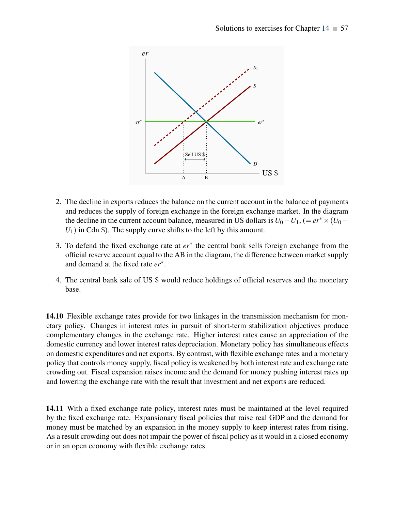

- 2. The decline in exports reduces the balance on the current account in the balance of payments and reduces the supply of foreign exchange in the foreign exchange market. In the diagram the decline in the current account balance, measured in US dollars is  $U_0 - U_1$ , (=  $er^* \times (U_0 U_1$ ) in Cdn \$). The supply curve shifts to the left by this amount.
- 3. To defend the fixed exchange rate at *er*<sup>∗</sup> the central bank sells foreign exchange from the official reserve account equal to the AB in the diagram, the difference between market supply and demand at the fixed rate *er*<sup>∗</sup> .
- 4. The central bank sale of US \$ would reduce holdings of official reserves and the monetary base.

14.10 Flexible exchange rates provide for two linkages in the transmission mechanism for monetary policy. Changes in interest rates in pursuit of short-term stabilization objectives produce complementary changes in the exchange rate. Higher interest rates cause an appreciation of the domestic currency and lower interest rates depreciation. Monetary policy has simultaneous effects on domestic expenditures and net exports. By contrast, with flexible exchange rates and a monetary policy that controls money supply, fiscal policy is weakened by both interest rate and exchange rate crowding out. Fiscal expansion raises income and the demand for money pushing interest rates up and lowering the exchange rate with the result that investment and net exports are reduced.

14.11 With a fixed exchange rate policy, interest rates must be maintained at the level required by the fixed exchange rate. Expansionary fiscal policies that raise real GDP and the demand for money must be matched by an expansion in the money supply to keep interest rates from rising. As a result crowding out does not impair the power of fiscal policy as it would in a closed economy or in an open economy with flexible exchange rates.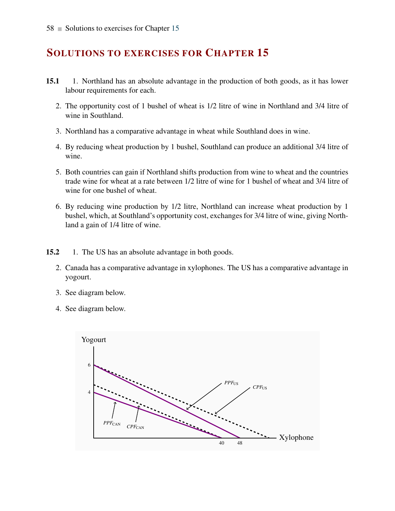- 15.1 1. Northland has an absolute advantage in the production of both goods, as it has lower labour requirements for each.
	- 2. The opportunity cost of 1 bushel of wheat is 1/2 litre of wine in Northland and 3/4 litre of wine in Southland.
	- 3. Northland has a comparative advantage in wheat while Southland does in wine.
	- 4. By reducing wheat production by 1 bushel, Southland can produce an additional 3/4 litre of wine.
	- 5. Both countries can gain if Northland shifts production from wine to wheat and the countries trade wine for wheat at a rate between 1/2 litre of wine for 1 bushel of wheat and 3/4 litre of wine for one bushel of wheat.
	- 6. By reducing wine production by 1/2 litre, Northland can increase wheat production by 1 bushel, which, at Southland's opportunity cost, exchanges for 3/4 litre of wine, giving Northland a gain of 1/4 litre of wine.
- 15.2 1. The US has an absolute advantage in both goods.
	- 2. Canada has a comparative advantage in xylophones. The US has a comparative advantage in yogourt.
	- 3. See diagram below.
	- 4. See diagram below.

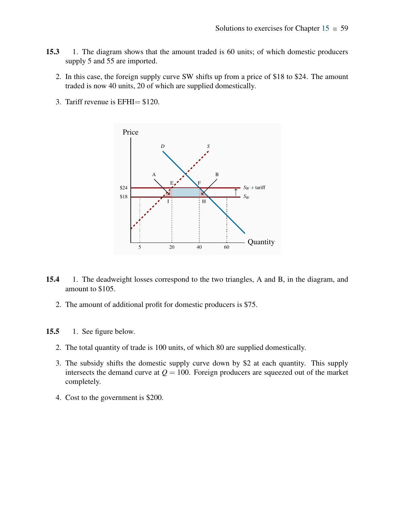- 15.3 1. The diagram shows that the amount traded is 60 units; of which domestic producers supply 5 and 55 are imported.
	- 2. In this case, the foreign supply curve SW shifts up from a price of \$18 to \$24. The amount traded is now 40 units, 20 of which are supplied domestically.
	- 3. Tariff revenue is EFHI= \$120.



- 15.4 1. The deadweight losses correspond to the two triangles, A and B, in the diagram, and amount to \$105.
	- 2. The amount of additional profit for domestic producers is \$75.
- 15.5 1. See figure below.
	- 2. The total quantity of trade is 100 units, of which 80 are supplied domestically.
	- 3. The subsidy shifts the domestic supply curve down by \$2 at each quantity. This supply intersects the demand curve at  $Q = 100$ . Foreign producers are squeezed out of the market completely.
	- 4. Cost to the government is \$200.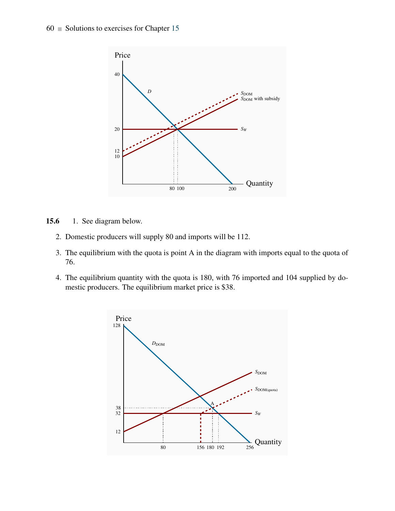

- 15.6 1. See diagram below.
	- 2. Domestic producers will supply 80 and imports will be 112.
	- 3. The equilibrium with the quota is point A in the diagram with imports equal to the quota of 76.
	- 4. The equilibrium quantity with the quota is 180, with 76 imported and 104 supplied by domestic producers. The equilibrium market price is \$38.

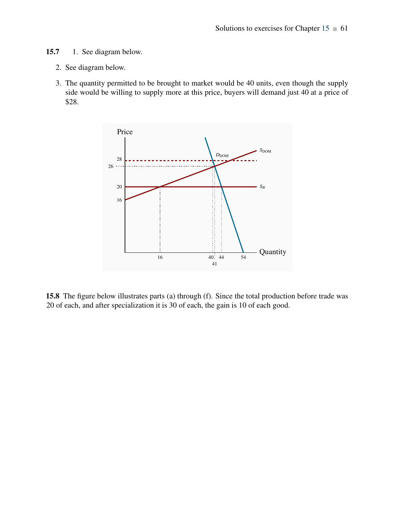- 15.7 1. See diagram below.
	- 2. See diagram below.
	- 3. The quantity permitted to be brought to market would be 40 units, even though the supply side would be willing to supply more at this price, buyers will demand just 40 at a price of \$28.



15.8 The figure below illustrates parts (a) through (f). Since the total production before trade was 20 of each, and after specialization it is 30 of each, the gain is 10 of each good.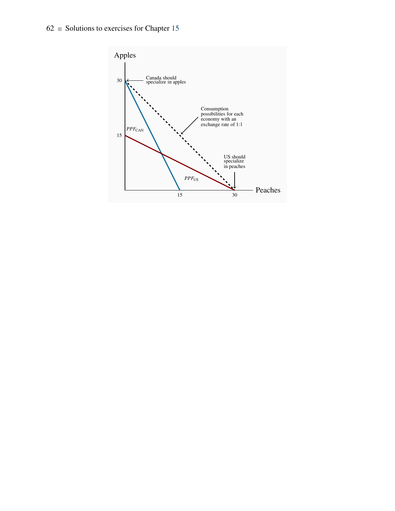